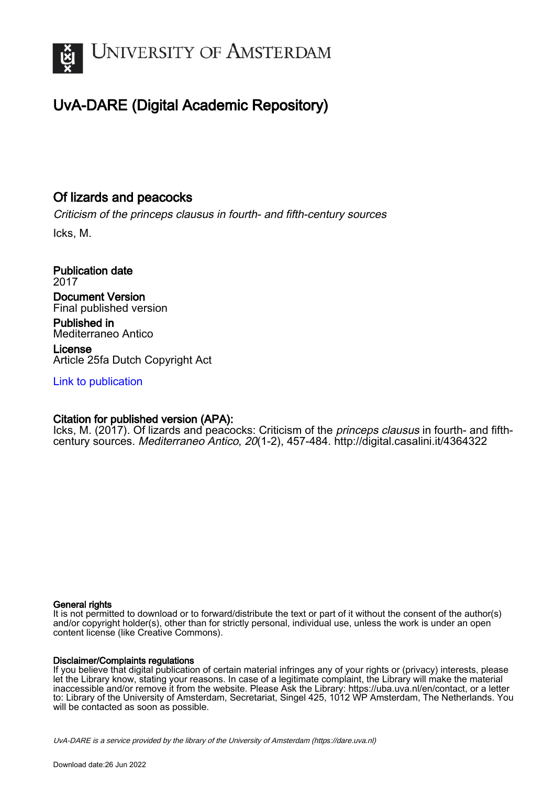

# UvA-DARE (Digital Academic Repository)

## Of lizards and peacocks

Criticism of the princeps clausus in fourth- and fifth-century sources

Icks, M.

Publication date 2017 Document Version Final published version

Published in Mediterraneo Antico

License Article 25fa Dutch Copyright Act

[Link to publication](https://dare.uva.nl/personal/pure/en/publications/of-lizards-and-peacocks(801d04be-2f7a-40f9-92c0-6923f0835226).html)

### Citation for published version (APA):

Icks, M. (2017). Of lizards and peacocks: Criticism of the *princeps clausus* in fourth- and fifthcentury sources. Mediterraneo Antico, 20(1-2), 457-484.<http://digital.casalini.it/4364322>

#### General rights

It is not permitted to download or to forward/distribute the text or part of it without the consent of the author(s) and/or copyright holder(s), other than for strictly personal, individual use, unless the work is under an open content license (like Creative Commons).

#### Disclaimer/Complaints regulations

If you believe that digital publication of certain material infringes any of your rights or (privacy) interests, please let the Library know, stating your reasons. In case of a legitimate complaint, the Library will make the material inaccessible and/or remove it from the website. Please Ask the Library: https://uba.uva.nl/en/contact, or a letter to: Library of the University of Amsterdam, Secretariat, Singel 425, 1012 WP Amsterdam, The Netherlands. You will be contacted as soon as possible.

UvA-DARE is a service provided by the library of the University of Amsterdam (http*s*://dare.uva.nl)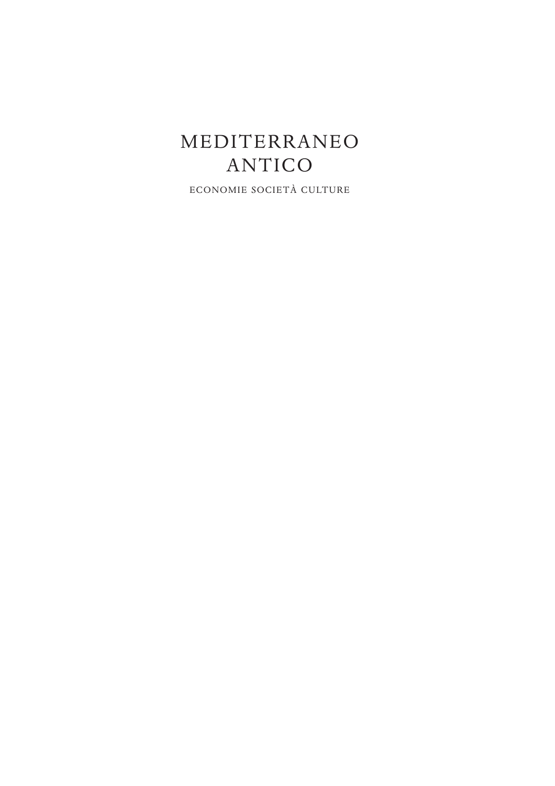# MEDITERRANEO ANTICO

ECONOMIE SOCIETÀ CULTURE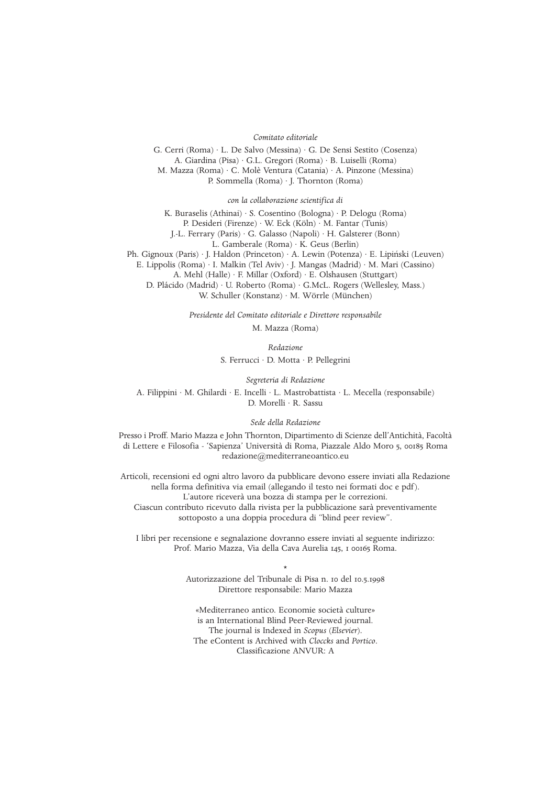#### *Comitato editoriale*

G. Cerri (Roma) · L. De Salvo (Messina) · G. De Sensi Sestito (Cosenza) A. Giardina (Pisa) · G.L. Gregori (Roma) · B. Luiselli (Roma) M. Mazza (Roma) · C. Molè Ventura (Catania) · A. Pinzone (Messina) P. Sommella (Roma) · J. Thornton (Roma)

*con la collaborazione scientifica di*

K. Buraselis (Athinai) · S. Cosentino (Bologna) · P. Delogu (Roma) P. Desideri (Firenze) · W. Eck (Köln) · M. Fantar (Tunis)

J.-L. Ferrary (Paris) · G. Galasso (Napoli) · H. Galsterer (Bonn)

L. Gamberale (Roma) · K. Geus (Berlin)

Ph. Gignoux (Paris) · I. Haldon (Princeton) · A. Lewin (Potenza) · E. Lipinski (Leuven)

E. Lippolis (Roma) · I. Malkin (Tel Aviv) · J. Mangas (Madrid) · M. Mari (Cassino)

A. Mehl (Halle) · F. Millar (Oxford) · E. Olshausen (Stuttgart)

D. Plácido (Madrid) · U. Roberto (Roma) · G.McL. Rogers (Wellesley, Mass.) W. Schuller (Konstanz) · M. Wörrle (München)

> *Presidente del Comitato editoriale e Direttore responsabile* M. Mazza (Roma)

> > *Redazione*

S. Ferrucci · D. Motta · P. Pellegrini

*Segreteria di Redazione*

A. Filippini · M. Ghilardi · E. Incelli · L. Mastrobattista · L. Mecella (responsabile) D. Morelli · R. Sassu

*Sede della Redazione*

Presso i Proff. Mario Mazza e John Thornton, Dipartimento di Scienze dell'Antichità, Facoltà di Lettere e Filosofia - 'Sapienza' Università di Roma, Piazzale Aldo Moro 5, 00185 Roma redazione@mediterraneoantico.eu

Articoli, recensioni ed ogni altro lavoro da pubblicare devono essere inviati alla Redazione nella forma definitiva via email (allegando il testo nei formati doc e pdf). L'autore riceverà una bozza di stampa per le correzioni. Ciascun contributo ricevuto dalla rivista per la pubblicazione sarà preventivamente sottoposto a una doppia procedura di "blind peer review".

I libri per recensione e segnalazione dovranno essere inviati al seguente indirizzo: Prof. Mario Mazza, Via della Cava Aurelia 145, 1 00165 Roma.

> \* Autorizzazione del Tribunale di Pisa n. 10 del 10.5.1998 Direttore responsabile: Mario Mazza

«Mediterraneo antico. Economie società culture» is an International Blind Peer-Reviewed journal. The journal is Indexed in *Scopus* (*Elsevier*). The eContent is Archived with *Cloccks* and *Portico*. Classificazione ANVUR: A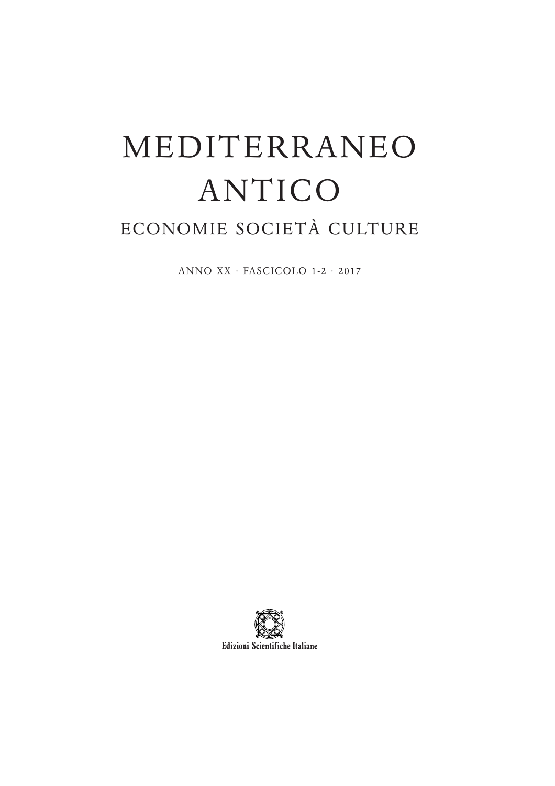# MEDITERRANEO ANTICO

# ECONOMIE SOCIETÀ CULTURE

ANNO XX · FASCICOLO 1-2 · 2017

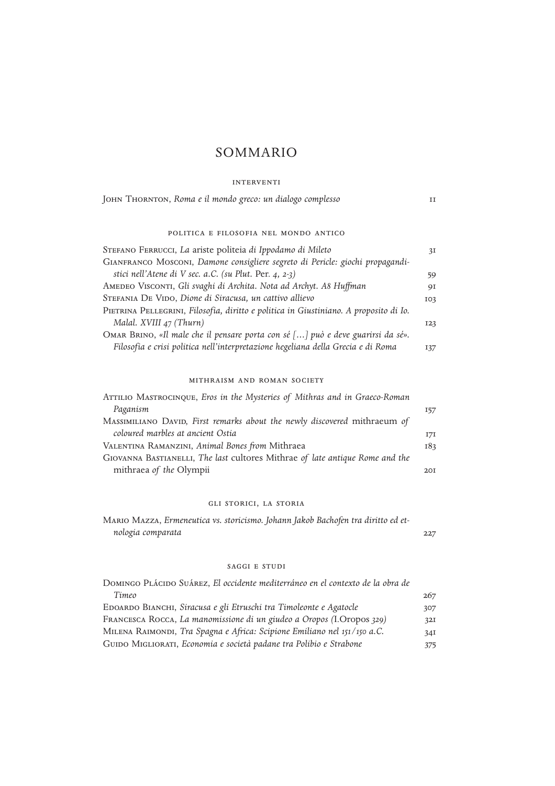## SOMMARIO

#### interventi

| JOHN THORNTON, Roma e il mondo greco: un dialogo complesso                            |     |  |  |  |
|---------------------------------------------------------------------------------------|-----|--|--|--|
| POLITICA E FILOSOFIA NEL MONDO ANTICO                                                 |     |  |  |  |
| STEFANO FERRUCCI, La ariste politeia di Ippodamo di Mileto                            | 3I  |  |  |  |
| GIANFRANCO MOSCONI, Damone consigliere segreto di Pericle: giochi propagandi-         |     |  |  |  |
| stici nell'Atene di V sec. a.C. (su Plut. Per. 4, 2-3)                                | 59  |  |  |  |
| AMEDEO VISCONTI, Gli svaghi di Archita. Nota ad Archyt. A8 Huffman                    | 9I  |  |  |  |
| Stefania De Vido, Dione di Siracusa, un cattivo allievo                               | 103 |  |  |  |
| PIETRINA PELLEGRINI, Filosofia, diritto e politica in Giustiniano. A proposito di Io. |     |  |  |  |
| Malal. XVIII 47 (Thurn)                                                               | 123 |  |  |  |
| OMAR BRINO, «Il male che il pensare porta con sé [] può e deve guarirsi da sé».       |     |  |  |  |
| Filosofia e crisi politica nell'interpretazione hegeliana della Grecia e di Roma      | 137 |  |  |  |

#### mithraism and roman society

| ATTILIO MASTROCINQUE, Eros in the Mysteries of Mithras and in Graeco-Roman   |     |
|------------------------------------------------------------------------------|-----|
| Paganism                                                                     | 157 |
| MASSIMILIANO DAVID, First remarks about the newly discovered mithraeum of    |     |
| coloured marbles at ancient Ostia                                            | 17I |
| VALENTINA RAMANZINI, Animal Bones from Mithraea                              | 183 |
| GIOVANNA BASTIANELLI, The last cultores Mithrae of late antique Rome and the |     |
| mithraea of the Olympii                                                      | 20T |

#### gli storici, la storia

| MARIO MAZZA, Ermeneutica vs. storicismo. Johann Jakob Bachofen tra diritto ed et- |     |
|-----------------------------------------------------------------------------------|-----|
| nologia comparata                                                                 | 227 |

#### saggi e studi

| DOMINGO PLÁCIDO SUÁREZ, El occidente mediterráneo en el contexto de la obra de |     |
|--------------------------------------------------------------------------------|-----|
| Timeo                                                                          | 267 |
| EDOARDO BIANCHI, Siracusa e gli Etruschi tra Timoleonte e Agatocle             | 307 |
| FRANCESCA ROCCA, La manomissione di un giudeo a Oropos (I.Oropos 329)          | 32I |
| MILENA RAIMONDI, Tra Spagna e Africa: Scipione Emiliano nel 151/150 a.C.       | 34I |
| GUIDO MIGLIORATI, Economia e società padane tra Polibio e Strabone             | 375 |
|                                                                                |     |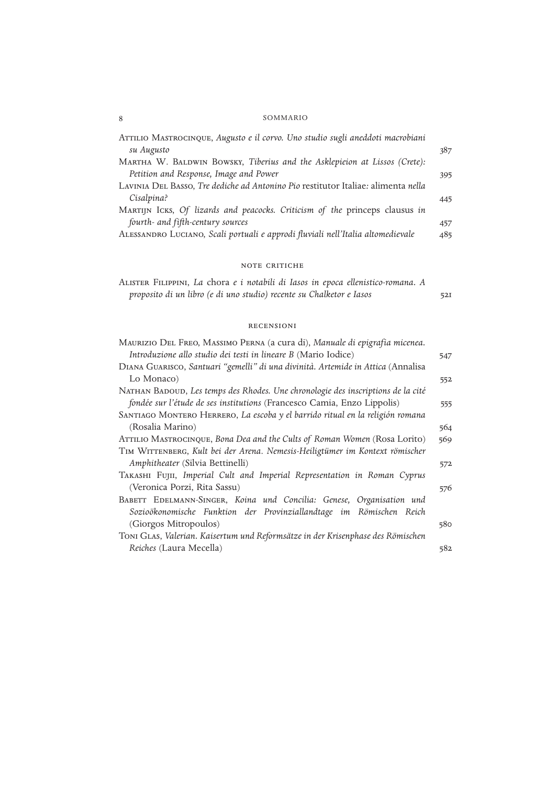#### 8 SOMMARIO

| ATTILIO MASTROCINQUE, Augusto e il corvo. Uno studio sugli aneddoti macrobiani    |     |
|-----------------------------------------------------------------------------------|-----|
| su Augusto                                                                        | 387 |
| MARTHA W. BALDWIN BOWSKY, Tiberius and the Asklepieion at Lissos (Crete):         |     |
| Petition and Response, Image and Power                                            | 395 |
| LAVINIA DEL BASSO, Tre dediche ad Antonino Pio restitutor Italiae: alimenta nella |     |
| Cisalpina?                                                                        | 445 |
| MARTIJN ICKS, Of lizards and peacocks. Criticism of the princeps clausus in       |     |
| fourth- and fifth-century sources                                                 | 457 |
| ALESSANDRO LUCIANO, Scali portuali e approdi fluviali nell'Italia altomedievale   | 485 |

#### note critiche

|                                                                      |  |  | ALISTER FILIPPINI, La chora e i notabili di Iasos in epoca ellenistico-romana. A |     |
|----------------------------------------------------------------------|--|--|----------------------------------------------------------------------------------|-----|
| proposito di un libro (e di uno studio) recente su Chalketor e Iasos |  |  |                                                                                  | 52I |

#### recensioni

| MAURIZIO DEL FREO, MASSIMO PERNA (a cura di), Manuale di epigrafia micenea.      |     |
|----------------------------------------------------------------------------------|-----|
| Introduzione allo studio dei testi in lineare B (Mario Iodice)                   | 547 |
| DIANA GUARISCO, Santuari "gemelli" di una divinità. Artemide in Attica (Annalisa |     |
| Lo Monaco)                                                                       | 552 |
| NATHAN BADOUD, Les temps des Rhodes. Une chronologie des inscriptions de la cité |     |
| fondée sur l'étude de ses institutions (Francesco Camia, Enzo Lippolis)          | 555 |
| SANTIAGO MONTERO HERRERO, La escoba y el barrido ritual en la religión romana    |     |
| (Rosalia Marino)                                                                 | 564 |
| ATTILIO MASTROCINQUE, Bona Dea and the Cults of Roman Women (Rosa Lorito)        | 569 |
| TIM WITTENBERG, Kult bei der Arena. Nemesis-Heiligtümer im Kontext römischer     |     |
| Amphitheater (Silvia Bettinelli)                                                 | 572 |
| TAKASHI FUJII, Imperial Cult and Imperial Representation in Roman Cyprus         |     |
| (Veronica Porzi, Rita Sassu)                                                     | 576 |
| BABETT EDELMANN-SINGER, Koina und Concilia: Genese, Organisation und             |     |
| Sozioökonomische Funktion der Provinziallandtage im Römischen Reich              |     |
| (Giorgos Mitropoulos)                                                            | 580 |
| TONI GLAS, Valerian. Kaisertum und Reformsätze in der Krisenphase des Römischen  |     |
| Reiches (Laura Mecella)                                                          | 582 |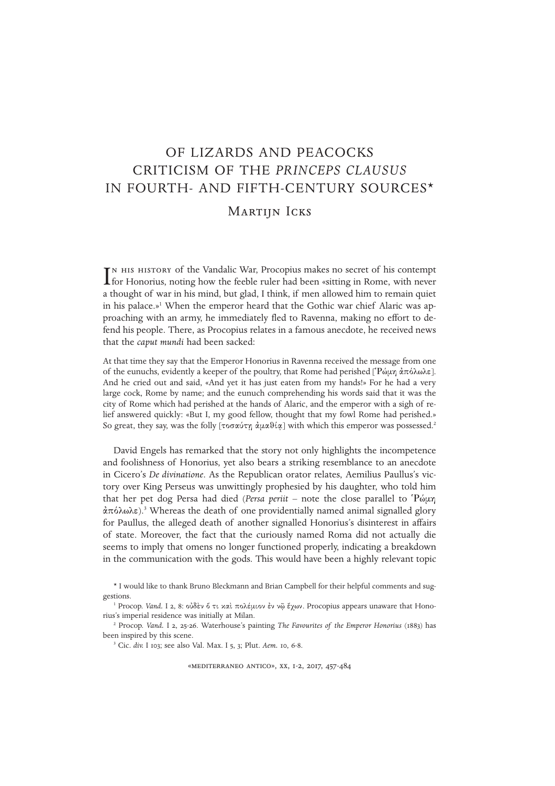# OF LIZARDS AND PEACOCKS CRITICISM OF THE *PRINCEPS CLAUSUS* IN FOURTH- AND FIFTH-CENTURY SOURCES\* MARTIJN ICKS

IN HIS HISTORY of the Vandalic War, Procopius makes no secret of his contempt for Honorius, noting how the feeble ruler had been «sitting in Rome, with never TN HIS HISTORY of the Vandalic War, Procopius makes no secret of his contempt a thought of war in his mind, but glad, I think, if men allowed him to remain quiet in his palace.»<sup>1</sup> When the emperor heard that the Gothic war chief Alaric was approaching with an army, he immediately fled to Ravenna, making no effort to defend his people. There, as Procopius relates in a famous anecdote, he received news that the *caput mundi* had been sacked:

At that time they say that the Emperor Honorius in Ravenna received the message from one of the eunuchs, evidently a keeper of the poultry, that Rome had perished  $[$ P $\omega$ µ $\alpha$  $\pi$  $\delta\lambda\omega\lambda\epsilon$ ]. And he cried out and said, «And yet it has just eaten from my hands!» For he had a very large cock, Rome by name; and the eunuch comprehending his words said that it was the city of Rome which had perished at the hands of Alaric, and the emperor with a sigh of relief answered quickly: «But I, my good fellow, thought that my fowl Rome had perished.» So great, they say, was the folly  $\lceil \text{row} \hat{\mathcal{H}} \times \hat{\mathcal{H}} \times \hat{\mathcal{H}} \times \hat{\mathcal{H}} \times \hat{\mathcal{H}} \times \hat{\mathcal{H}} \times \hat{\mathcal{H}} \times \hat{\mathcal{H}} \times \hat{\mathcal{H}} \times \hat{\mathcal{H}} \times \hat{\mathcal{H}} \times \hat{\mathcal{H}} \times \hat{\mathcal{H}} \times \hat{\mathcal{H}} \times \hat{\mathcal{H}} \times \hat{\mathcal{H}} \times \hat{\mathcal{H}} \times \hat{\mathcal{H}}$ 

David Engels has remarked that the story not only highlights the incompetence and foolishness of Honorius, yet also bears a striking resemblance to an anecdote in Cicero's *De divinatione*. As the Republican orator relates, Aemilius Paullus's victory over King Perseus was unwittingly prophesied by his daughter, who told him that her pet dog Persa had died (*Persa periit* – note the close parallel to 'Ρώμη  $\alpha \pi \delta \lambda \omega \lambda \epsilon$ ).<sup>3</sup> Whereas the death of one providentially named animal signalled glory for Paullus, the alleged death of another signalled Honorius's disinterest in affairs of state. Moreover, the fact that the curiously named Roma did not actually die seems to imply that omens no longer functioned properly, indicating a breakdown in the communication with the gods. This would have been a highly relevant topic

«mediterraneo antico», xx, 1-2, 2017, 457-484

<sup>\*</sup> I would like to thank Bruno Bleckmann and Brian Campbell for their helpful comments and suggestions.

<sup>&</sup>lt;sup>1</sup> Procop. *Vand.* I 2, 8: οὐδεν ő τι και πολέμιον εν νῶ ἔγων. Procopius appears unaware that Honorius's imperial residence was initially at Milan.

<sup>2</sup> Procop. *Vand.* I 2, 25-26. Waterhouse's painting *The Favourites of the Emperor Honorius* (1883) has been inspired by this scene.

<sup>3</sup> Cic. *div.* I 103; see also Val. Max. I 5, 3; Plut. *Aem.* 10, 6-8.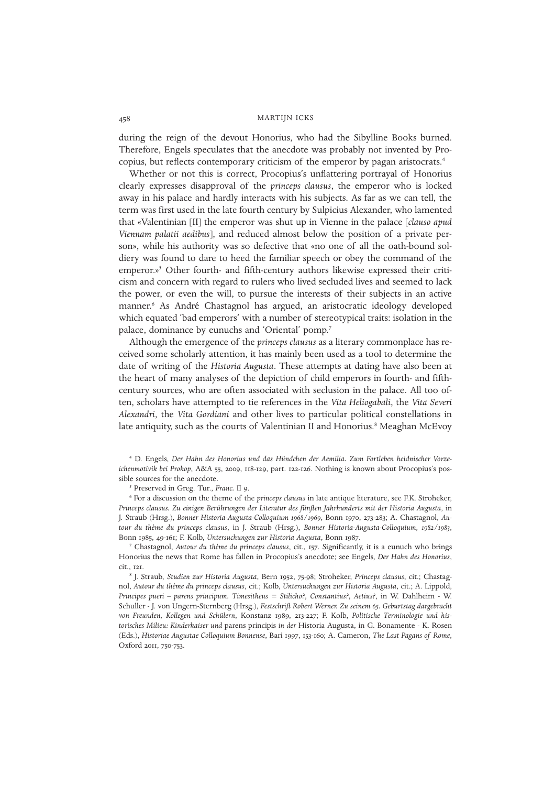during the reign of the devout Honorius, who had the Sibylline Books burned. Therefore, Engels speculates that the anecdote was probably not invented by Procopius, but reflects contemporary criticism of the emperor by pagan aristocrats.<sup>4</sup>

Whether or not this is correct, Procopius's unflattering portrayal of Honorius clearly expresses disapproval of the *princeps clausus*, the emperor who is locked away in his palace and hardly interacts with his subjects. As far as we can tell, the term was first used in the late fourth century by Sulpicius Alexander, who lamented that «Valentinian [II] the emperor was shut up in Vienne in the palace [*clauso apud Viennam palatii aedibus*], and reduced almost below the position of a private person», while his authority was so defective that «no one of all the oath -bound soldiery was found to dare to heed the familiar speech or obey the command of the emperor.»<sup>5</sup> Other fourth- and fifth-century authors likewise expressed their criticism and concern with regard to rulers who lived secluded lives and seemed to lack the power, or even the will, to pursue the interests of their subjects in an active manner.<sup>6</sup> As André Chastagnol has argued, an aristocratic ideology developed which equated 'bad emperors' with a number of stereotypical traits: isolation in the palace, dominance by eunuchs and 'Oriental' pomp.<sup>7</sup>

Although the emergence of the *princeps clausus* as a literary commonplace has received some scholarly attention, it has mainly been used as a tool to determine the date of writing of the *Historia Augusta*. These attempts at dating have also been at the heart of many analyses of the depiction of child emperors in fourth- and fifthcentury sources, who are often associated with seclusion in the palace. All too often, scholars have attempted to tie references in the *Vita Heliogabali*, the *Vita Severi Alexandri*, the *Vita Gordiani* and other lives to particular political constellations in late antiquity, such as the courts of Valentinian II and Honorius.<sup>8</sup> Meaghan McEvoy

<sup>6</sup> For a discussion on the theme of the *princeps clausus* in late antique literature, see F.K. Stroheker, *Princeps clausus. Zu einigen Berührungen der Literatur des fünften Jahrhunderts mit der Historia Augusta*, in J. Straub (Hrsg.), *Bonner Historia-Augusta-Colloquium 1968/1969*, Bonn 1970, 273-283; A. Chastagnol, *Autour du thème du princeps clausus*, in J. Straub (Hrsg.), *Bonner Historia-Augusta-Colloquium, 1982/1983*, Bonn 1985, 49-161; F. Kolb, *Untersuchungen zur Historia Augusta*, Bonn 1987.

<sup>7</sup> Chastagnol, *Autour du thème du princeps clausus*, cit., 157. Significantly, it is a eunuch who brings Honorius the news that Rome has fallen in Procopius's anecdote; see Engels, *Der Hahn des Honorius*, cit., 121.

8 J. Straub, *Studien zur Historia Augusta*, Bern 1952, 75-98; Stroheker, *Princeps clausus*, cit.; Chastagnol, *Autour du thème du princeps clausus*, cit.; Kolb, *Untersuchungen zur Historia Augusta*, cit.; A. Lippold, *Principes pueri – parens principum. Timesitheus = Stilicho?, Constantius?, Aetius?*, in W. Dahlheim - W. Schuller - J. von Ungern-Sternberg (Hrsg.), *Festschrift Robert Werner. Zu seinem 65. Geburtstag dargebracht von Freunden, Kollegen und Schülern*, Konstanz 1989, 213-227; F. Kolb, *Politische Terminologie und historisches Milieu: Kinderkaiser und* parens principis *in der* Historia Augusta, in G. Bonamente - K. Rosen (Eds.), *Historiae Augustae Colloquium Bonnense*, Bari 1997, 153-160; A. Cameron, *The Last Pagans of Rome*, Oxford 2011, 750-753.

<sup>4</sup> D. Engels, *Der Hahn des Honorius und das Hündchen der Aemilia. Zum Fortleben heidnischer Vorzeichenmotivik bei Prokop*, A&A 55, 2009, 118-129, part. 122-126. Nothing is known about Procopius's possible sources for the anecdote.

<sup>5</sup> Preserved in Greg. Tur., *Franc.* II 9.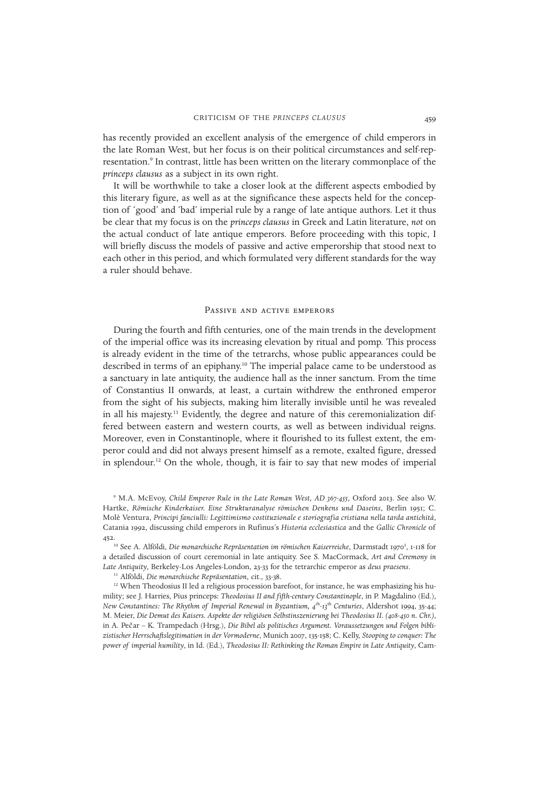has recently provided an excellent analysis of the emergence of child emperors in the late Roman West, but her focus is on their political circumstances and self-representation.<sup>9</sup> In contrast, little has been written on the literary commonplace of the *princeps clausus* as a subject in its own right.

It will be worthwhile to take a closer look at the different aspects embodied by this literary figure, as well as at the significance these aspects held for the conception of 'good' and 'bad' imperial rule by a range of late antique authors. Let it thus be clear that my focus is on the *princeps clausus* in Greek and Latin literature, *not* on the actual conduct of late antique emperors. Before proceeding with this topic, I will briefly discuss the models of passive and active emperorship that stood next to each other in this period, and which formulated very different standards for the way a ruler should behave.

#### Passive and active emperors

During the fourth and fifth centuries, one of the main trends in the development of the imperial office was its increasing elevation by ritual and pomp. This process is already evident in the time of the tetrarchs, whose public appearances could be described in terms of an epiphany.<sup>10</sup> The imperial palace came to be understood as a sanctuary in late antiquity, the audience hall as the inner sanctum. From the time of Constantius II onwards, at least, a curtain withdrew the enthroned emperor from the sight of his subjects, making him literally invisible until he was revealed in all his majesty.<sup>11</sup> Evidently, the degree and nature of this ceremonialization differed between eastern and western courts, as well as between individual reigns. Moreover, even in Constantinople, where it flourished to its fullest extent, the emperor could and did not always present himself as a remote, exalted figure, dressed in splendour.<sup>12</sup> On the whole, though, it is fair to say that new modes of imperial

<sup>11</sup> Alföldi, *Die monarchische Repräsentation*, cit., 33-38.

<sup>9</sup> M.A. McEvoy, *Child Emperor Rule in the Late Roman West, AD 367-455*, Oxford 2013. See also W. Hartke, *Römische Kinderkaiser. Eine Strukturanalyse römischen Denkens und Daseins*, Berlin 1951; C. Molè Ventura, *Principi fanciulli: Legittimismo costituzionale e storiografia cristiana nella tarda antichità*, Catania 1992, discussing child emperors in Rufinus's *Historia ecclesiastica* and the *Gallic Chronicle* of 452.

<sup>&</sup>lt;sup>10</sup> See A. Alföldi, Die monarchische Repräsentation im römischen Kaiserreiche, Darmstadt 1970<sup>3</sup>, 1-118 for a detailed discussion of court ceremonial in late antiquity. See S. MacCormack, *Art and Ceremony in Late Antiquity*, Berkeley-Los Angeles-London, 23-33 for the tetrarchic emperor as *deus praesens*.

<sup>&</sup>lt;sup>12</sup> When Theodosius II led a religious procession barefoot, for instance, he was emphasizing his humility; see J. Harries, Pius princeps*: Theodosius II and fifth-century Constantinople*, in P. Magdalino (Ed.), *New Constantines: The Rhythm of Imperial Renewal in Byzantium, 4* th *-13*th *Centuries*, Aldershot 1994, 35-44; M. Meier, *Die Demut des Kaisers. Aspekte der religiösen Selbstinszenierung bei Theodosius II. (408-450 n. Chr.)*, in A. Pečar – K. Trampedach (Hrsg.), *Die Bibel als politisches Argument. Voraussetzungen und Folgen biblizistischer Herrschaftslegitimation in der Vormoderne*, Munich 2007, 135-158; C. Kelly, *Stooping to conquer: The power of imperial humility*, in Id. (Ed.), *Theodosius II: Rethinking the Roman Empire in Late Antiquity*, Cam-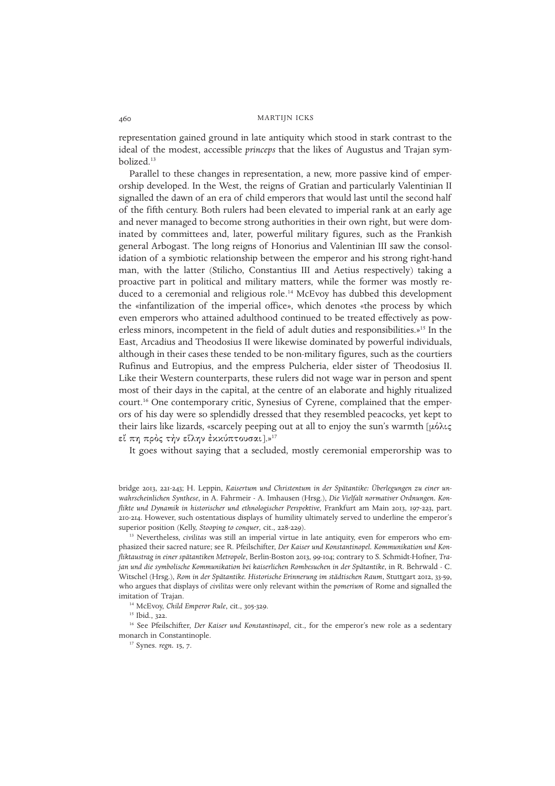representation gained ground in late antiquity which stood in stark contrast to the ideal of the modest, accessible *princeps* that the likes of Augustus and Trajan symbolized.<sup>13</sup>

Parallel to these changes in representation, a new, more passive kind of emperorship developed. In the West, the reigns of Gratian and particularly Valentinian II signalled the dawn of an era of child emperors that would last until the second half of the fifth century. Both rulers had been elevated to imperial rank at an early age and never managed to become strong authorities in their own right, but were dominated by committees and, later, powerful military figures, such as the Frankish general Arbogast. The long reigns of Honorius and Valentinian III saw the consolidation of a symbiotic relationship between the emperor and his strong right-hand man, with the latter (Stilicho, Constantius III and Aetius respectively) taking a proactive part in political and military matters, while the former was mostly reduced to a ceremonial and religious role.<sup>14</sup> McEvoy has dubbed this development the «infantilization of the imperial office», which denotes «the process by which even emperors who attained adulthood continued to be treated effectively as powerless minors, incompetent in the field of adult duties and responsibilities.»<sup>15</sup> In the East, Arcadius and Theodosius II were likewise dominated by powerful individuals, although in their cases these tended to be non-military figures, such as the courtiers Rufinus and Eutropius, and the empress Pulcheria, elder sister of Theodosius II. Like their Western counterparts, these rulers did not wage war in person and spent most of their days in the capital, at the centre of an elaborate and highly ritualized court.<sup>16</sup> One contemporary critic, Synesius of Cyrene, complained that the emperors of his day were so splendidly dressed that they resembled peacocks, yet kept to their lairs like lizards, «scarcely peeping out at all to enjoy the sun's warmth  $\mu\acute{o}$  $\lambda\epsilon$ εί πη πρός τήν είλην έκκύπτουσαι].»<sup>17</sup>

It goes without saying that a secluded, mostly ceremonial emperorship was to

bridge 2013, 221-243; H. Leppin, *Kaisertum und Christentum in der Spätantike: Überlegungen zu einer unwahrscheinlichen Synthese*, in A. Fahrmeir - A. Imhausen (Hrsg.), *Die Vielfalt normativer Ordnungen. Konflikte und Dynamik in historischer und ethnologischer Perspektive*, Frankfurt am Main 2013, 197-223, part. 210-214. However, such ostentatious displays of humility ultimately served to underline the emperor's superior position (Kelly, *Stooping to conquer*, cit., 228-229).

<sup>13</sup> Nevertheless, *civilitas* was still an imperial virtue in late antiquity, even for emperors who emphasized their sacred nature; see R. Pfeilschifter, *Der Kaiser und Konstantinopel. Kommunikation und Konfliktaustrag in einer spätantiken Metropole*, Berlin-Boston 2013, 99-104; contrary to S. Schmidt-Hofner, *Trajan und die symbolische Kommunikation bei kaiserlichen Rombesuchen in der Spätantike*, in R. Behrwald - C. Witschel (Hrsg.), *Rom in der Spätantike. Historische Erinnerung im städtischen Raum*, Stuttgart 2012, 33-59, who argues that displays of *civilitas* were only relevant within the *pomerium* of Rome and signalled the imitation of Trajan.

<sup>14</sup> McEvoy, *Child Emperor Rule*, cit., 305-329.

<sup>15</sup> Ibid., 322.

<sup>16</sup> See Pfeilschifter, *Der Kaiser und Konstantinopel*, cit., for the emperor's new role as a sedentary monarch in Constantinople.

<sup>17</sup> Synes. *regn.* 15, 7.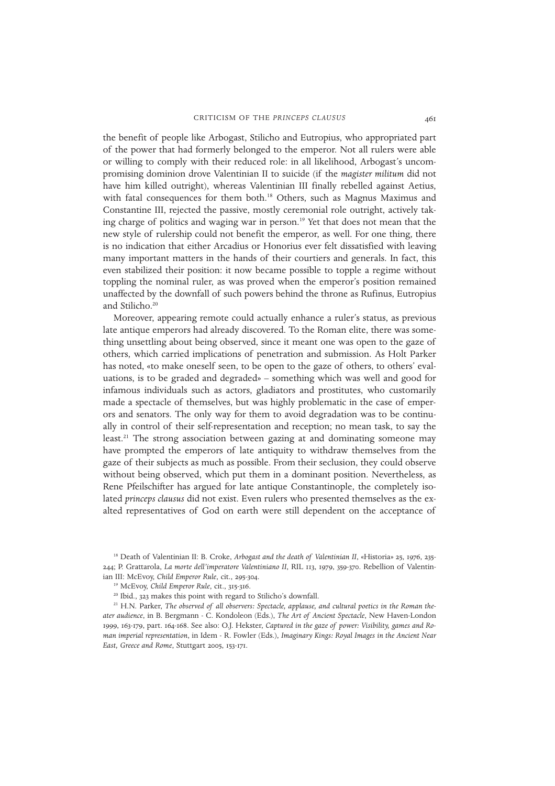the benefit of people like Arbogast, Stilicho and Eutropius, who appropriated part of the power that had formerly belonged to the emperor. Not all rulers were able or willing to comply with their reduced role: in all likelihood, Arbogast's uncompromising dominion drove Valentinian II to suicide (if the *magister militum* did not have him killed outright), whereas Valentinian III finally rebelled against Aetius, with fatal consequences for them both.<sup>18</sup> Others, such as Magnus Maximus and Constantine III, rejected the passive, mostly ceremonial role outright, actively taking charge of politics and waging war in person.<sup>19</sup> Yet that does not mean that the new style of rulership could not benefit the emperor, as well. For one thing, there is no indication that either Arcadius or Honorius ever felt dissatisfied with leaving many important matters in the hands of their courtiers and generals. In fact, this even stabilized their position: it now became possible to topple a regime without toppling the nominal ruler, as was proved when the emperor's position remained unaffected by the downfall of such powers behind the throne as Rufinus, Eutropius and Stilicho.<sup>20</sup>

Moreover, appearing remote could actually enhance a ruler's status, as previous late antique emperors had already discovered. To the Roman elite, there was something unsettling about being observed, since it meant one was open to the gaze of others, which carried implications of penetration and submission. As Holt Parker has noted, «to make oneself seen, to be open to the gaze of others, to others' evaluations, is to be graded and degraded» – something which was well and good for infamous individuals such as actors, gladiators and prostitutes, who customarily made a spectacle of themselves, but was highly problematic in the case of emperors and senators. The only way for them to avoid degradation was to be continually in control of their self-representation and reception; no mean task, to say the least.<sup>21</sup> The strong association between gazing at and dominating someone may have prompted the emperors of late antiquity to withdraw themselves from the gaze of their subjects as much as possible. From their seclusion, they could observe without being observed, which put them in a dominant position. Nevertheless, as Rene Pfeilschifter has argued for late antique Constantinople, the completely isolated *princeps clausus* did not exist. Even rulers who presented themselves as the exalted representatives of God on earth were still dependent on the acceptance of

<sup>18</sup> Death of Valentinian II: B. Croke, *Arbogast and the death of Valentinian II*, «Historia» 25, 1976, 235- 244; P. Grattarola, *La morte dell'imperatore Valentiniano II*, RIL 113, 1979, 359-370. Rebellion of Valentinian III: McEvoy, *Child Emperor Rule*, cit., 295-304.

<sup>19</sup> McEvoy, *Child Emperor Rule*, cit., 315-316.

<sup>20</sup> Ibid., 323 makes this point with regard to Stilicho's downfall.

<sup>&</sup>lt;sup>21</sup> H.N. Parker, The observed of all observers: Spectacle, applause, and cultural poetics in the Roman the*ater audience*, in B. Bergmann - C. Kondoleon (Eds.), *The Art of Ancient Spectacle*, New Haven-London 1999, 163-179, part. 164-168. See also: O.J. Hekster, *Captured in the gaze of power: Visibility, games and Roman imperial representation*, in Idem - R. Fowler (Eds.), *Imaginary Kings: Royal Images in the Ancient Near East, Greece and Rome*, Stuttgart 2005, 153-171.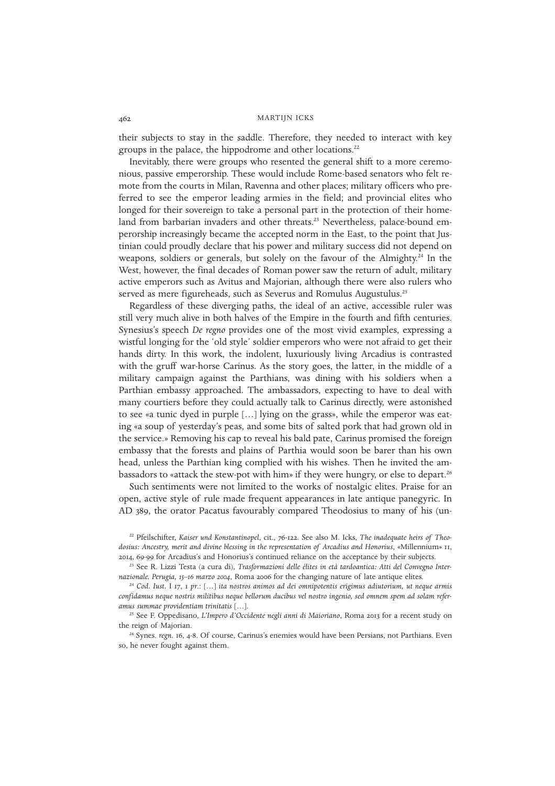their subjects to stay in the saddle. Therefore, they needed to interact with key groups in the palace, the hippodrome and other locations.<sup>22</sup>

Inevitably, there were groups who resented the general shift to a more ceremonious, passive emperorship. These would include Rome-based senators who felt remote from the courts in Milan, Ravenna and other places; military officers who preferred to see the emperor leading armies in the field; and provincial elites who longed for their sovereign to take a personal part in the protection of their homeland from barbarian invaders and other threats.<sup>23</sup> Nevertheless, palace-bound emperorship increasingly became the accepted norm in the East, to the point that Justinian could proudly declare that his power and military success did not depend on weapons, soldiers or generals, but solely on the favour of the Almighty.<sup>24</sup> In the West, however, the final decades of Roman power saw the return of adult, military active emperors such as Avitus and Majorian, although there were also rulers who served as mere figureheads, such as Severus and Romulus Augustulus.<sup>25</sup>

Regardless of these diverging paths, the ideal of an active, accessible ruler was still very much alive in both halves of the Empire in the fourth and fifth centuries. Synesius's speech *De regno* provides one of the most vivid examples, expressing a wistful longing for the 'old style' soldier emperors who were not afraid to get their hands dirty. In this work, the indolent, luxuriously living Arcadius is contrasted with the gruff war-horse Carinus. As the story goes, the latter, in the middle of a military campaign against the Parthians, was dining with his soldiers when a Parthian embassy approached. The ambassadors, expecting to have to deal with many courtiers before they could actually talk to Carinus directly, were astonished to see «a tunic dyed in purple […] lying on the grass», while the emperor was eating «a soup of yesterday's peas, and some bits of salted pork that had grown old in the service.» Removing his cap to reveal his bald pate, Carinus promised the foreign embassy that the forests and plains of Parthia would soon be barer than his own head, unless the Parthian king complied with his wishes. Then he invited the ambassadors to «attack the stew-pot with him» if they were hungry, or else to depart.<sup>26</sup>

Such sentiments were not limited to the works of nostalgic elites. Praise for an open, active style of rule made frequent appearances in late antique panegyric. In AD 389, the orator Pacatus favourably compared Theodosius to many of his (un-

<sup>22</sup> Pfeilschifter, *Kaiser und Konstantinopel*, cit., 76-122. See also M. Icks, *The inadequate heirs of Theodosius: Ancestry, merit and divine blessing in the representation of Arcadius and Honorius*, «Millennium» 11, 2014, 69-99 for Arcadius's and Honorius's continued reliance on the acceptance by their subjects.

<sup>23</sup> See R. Lizzi Testa (a cura di), *Trasformazioni delle élites in età tardoantica: Atti del Convegno Internazionale. Perugia, 15–16 marzo 2004*, Roma 2006 for the changing nature of late antique elites.

<sup>24</sup> *Cod. Iust.* I 17, 1 *pr*.: […] *ita nostros animos ad dei omnipotentis erigimus adiutorium, ut neque armis confidamus neque nostris militibus neque bellorum ducibus vel nostro ingenio, sed omnem spem ad solam referamus summae providentiam trinitatis* […].

<sup>25</sup> See F. Oppedisano, *L'Impero d'Occidente negli anni di Maioriano*, Roma 2013 for a recent study on the reign of Majorian.

<sup>26</sup> Synes. *regn.* 16, 4-8. Of course, Carinus's enemies would have been Persians, not Parthians. Even so, he never fought against them.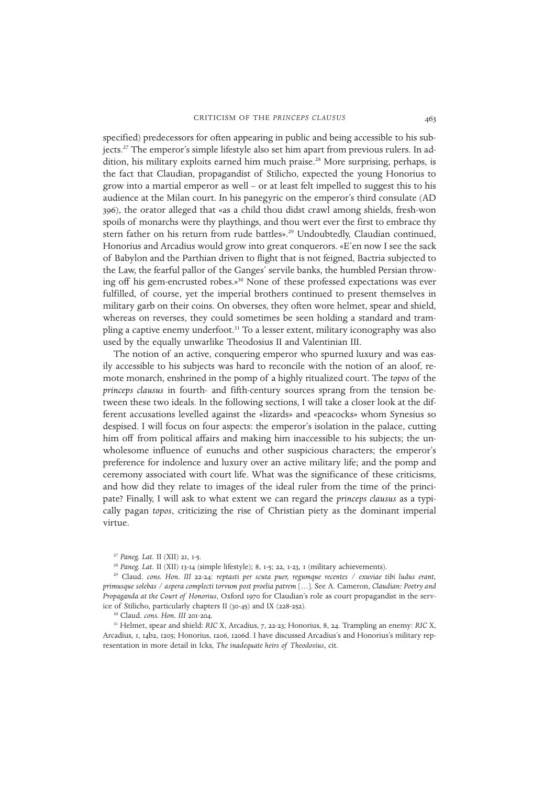specified) predecessors for often appearing in public and being accessible to his subjects.<sup>27</sup> The emperor's simple lifestyle also set him apart from previous rulers. In addition, his military exploits earned him much praise.<sup>28</sup> More surprising, perhaps, is the fact that Claudian, propagandist of Stilicho, expected the young Honorius to grow into a martial emperor as well – or at least felt impelled to suggest this to his audience at the Milan court. In his panegyric on the emperor's third consulate (AD 396), the orator alleged that «as a child thou didst crawl among shields, fresh-won spoils of monarchs were thy playthings, and thou wert ever the first to embrace thy stern father on his return from rude battles».<sup>29</sup> Undoubtedly, Claudian continued, Honorius and Arcadius would grow into great conquerors. «E'en now I see the sack of Babylon and the Parthian driven to flight that is not feigned, Bactria subjected to the Law, the fearful pallor of the Ganges' servile banks, the humbled Persian throwing off his gem-encrusted robes.»<sup>30</sup> None of these professed expectations was ever fulfilled, of course, yet the imperial brothers continued to present themselves in military garb on their coins. On obverses, they often wore helmet, spear and shield, whereas on reverses, they could sometimes be seen holding a standard and trampling a captive enemy underfoot.<sup>31</sup> To a lesser extent, military iconography was also used by the equally unwarlike Theodosius II and Valentinian III.

The notion of an active, conquering emperor who spurned luxury and was easily accessible to his subjects was hard to reconcile with the notion of an aloof, remote monarch, enshrined in the pomp of a highly ritualized court. The *topos* of the *princeps clausus* in fourth- and fifth-century sources sprang from the tension between these two ideals. In the following sections, I will take a closer look at the different accusations levelled against the «lizards» and «peacocks» whom Synesius so despised. I will focus on four aspects: the emperor's isolation in the palace, cutting him off from political affairs and making him inaccessible to his subjects; the unwholesome influence of eunuchs and other suspicious characters; the emperor's preference for indolence and luxury over an active military life; and the pomp and ceremony associated with court life. What was the significance of these criticisms, and how did they relate to images of the ideal ruler from the time of the principate? Finally, I will ask to what extent we can regard the *princeps clausus* as a typically pagan *topos*, criticizing the rise of Christian piety as the dominant imperial virtue.

<sup>27</sup> *Paneg. Lat.* II (XII) 21, 1-5.

<sup>&</sup>lt;sup>28</sup> *Paneg. Lat.* II (XII) 13-14 (simple lifestyle); 8, 1-5; 22, 1-23, 1 (military achievements).

<sup>29</sup> Claud. *cons. Hon. III* 22-24: *reptasti per scuta puer, regumque recentes / exuviae tibi ludus erant, primusque solebas / aspera complecti torvum post proelia patrem* […]. See A. Cameron, *Claudian: Poetry and Propaganda at the Court of Honorius*, Oxford 1970 for Claudian's role as court propagandist in the service of Stilicho, particularly chapters II (30-45) and IX (228-252).

<sup>30</sup> Claud. *cons. Hon. III* 201-204.

<sup>31</sup> Helmet, spear and shield: *RIC* X, Arcadius, 7, 22-23; Honorius, 8, 24. Trampling an enemy: *RIC* X, Arcadius, 1, 14b2, 1205; Honorius, 1206, 1206d. I have discussed Arcadius's and Honorius's military representation in more detail in Icks, *The inadequate heirs of Theodosius*, cit.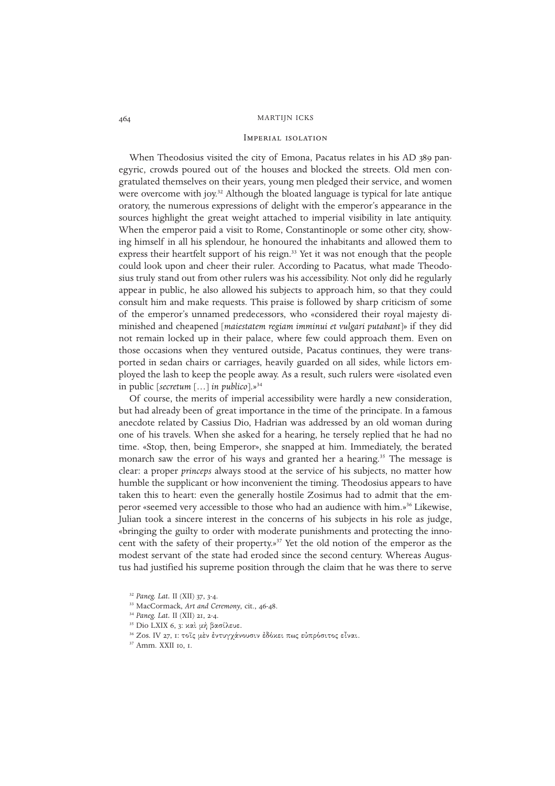#### Imperial isolation

When Theodosius visited the city of Emona, Pacatus relates in his AD 389 panegyric, crowds poured out of the houses and blocked the streets. Old men congratulated themselves on their years, young men pledged their service, and women were overcome with joy.<sup>32</sup> Although the bloated language is typical for late antique oratory, the numerous expressions of delight with the emperor's appearance in the sources highlight the great weight attached to imperial visibility in late antiquity. When the emperor paid a visit to Rome, Constantinople or some other city, showing himself in all his splendour, he honoured the inhabitants and allowed them to express their heartfelt support of his reign.<sup>33</sup> Yet it was not enough that the people could look upon and cheer their ruler. According to Pacatus, what made Theodosius truly stand out from other rulers was his accessibility. Not only did he regularly appear in public, he also allowed his subjects to approach him, so that they could consult him and make requests. This praise is followed by sharp criticism of some of the emperor's unnamed predecessors, who «considered their royal majesty diminished and cheapened [*maiestatem regiam imminui et vulgari putabant*]» if they did not remain locked up in their palace, where few could approach them. Even on those occasions when they ventured outside, Pacatus continues, they were transported in sedan chairs or carriages, heavily guarded on all sides, while lictors employed the lash to keep the people away. As a result, such rulers were «isolated even in public [*secretum* […] *in publico*].»<sup>34</sup>

Of course, the merits of imperial accessibility were hardly a new consideration, but had already been of great importance in the time of the principate. In a famous anecdote related by Cassius Dio, Hadrian was addressed by an old woman during one of his travels. When she asked for a hearing, he tersely replied that he had no time. «Stop, then, being Emperor», she snapped at him. Immediately, the berated monarch saw the error of his ways and granted her a hearing.<sup>35</sup> The message is clear: a proper *princeps* always stood at the service of his subjects, no matter how humble the supplicant or how inconvenient the timing. Theodosius appears to have taken this to heart: even the generally hostile Zosimus had to admit that the emperor «seemed very accessible to those who had an audience with him.»<sup>36</sup> Likewise, Julian took a sincere interest in the concerns of his subjects in his role as judge, «bringing the guilty to order with moderate punishments and protecting the innocent with the safety of their property.»<sup>37</sup> Yet the old notion of the emperor as the modest servant of the state had eroded since the second century. Whereas Augustus had justified his supreme position through the claim that he was there to serve

<sup>32</sup> *Paneg. Lat.* II (XII) 37, 3-4.

<sup>33</sup> MacCormack, *Art and Ceremony*, cit., 46-48.

<sup>34</sup> *Paneg. Lat.* II (XII) 21, 2-4.

<sup>&</sup>lt;sup>35</sup> Dio LXIX 6, 3: καὶ μή βασίλευε.

<sup>36</sup> Zos. IV 27, 1: τοΐς μέν έντυγχάνουσιν έδόκει πως εύπρόσιτος εἶναι.

<sup>37</sup> Amm. XXII 10, 1.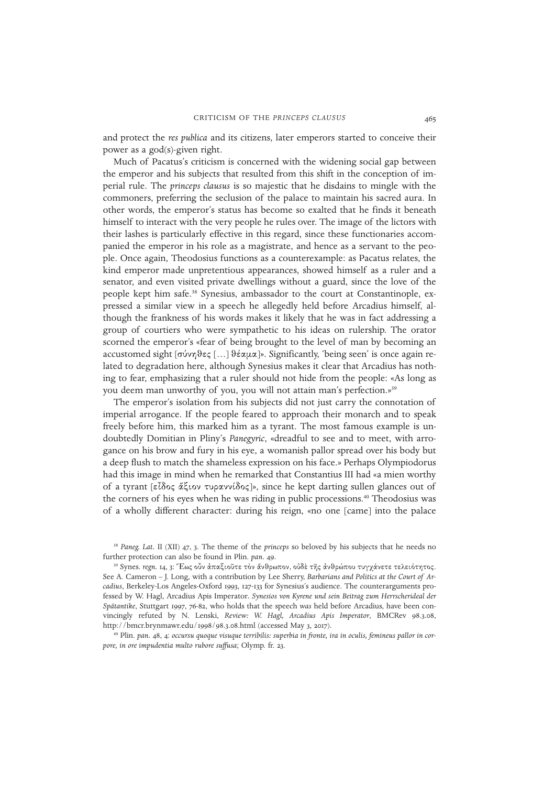and protect the *res publica* and its citizens, later emperors started to conceive their power as a god(s)-given right.

Much of Pacatus's criticism is concerned with the widening social gap between the emperor and his subjects that resulted from this shift in the conception of imperial rule. The *princeps clausus* is so majestic that he disdains to mingle with the commoners, preferring the seclusion of the palace to maintain his sacred aura. In other words, the emperor's status has become so exalted that he finds it beneath himself to interact with the very people he rules over. The image of the lictors with their lashes is particularly effective in this regard, since these functionaries accompanied the emperor in his role as a magistrate, and hence as a servant to the people. Once again, Theodosius functions as a counterexample: as Pacatus relates, the kind emperor made unpretentious appearances, showed himself as a ruler and a senator, and even visited private dwellings without a guard, since the love of the people kept him safe.<sup>38</sup> Synesius, ambassador to the court at Constantinople, expressed a similar view in a speech he allegedly held before Arcadius himself, although the frankness of his words makes it likely that he was in fact addressing a group of courtiers who were sympathetic to his ideas on rulership. The orator scorned the emperor's «fear of being brought to the level of man by becoming an accustomed sight  $\lceil \sigma v \rangle$ θες  $\lceil ... \rceil$ θέαμα $\rceil$ ». Significantly, 'being seen' is once again related to degradation here, although Synesius makes it clear that Arcadius has nothing to fear, emphasizing that a ruler should not hide from the people: «As long as you deem man unworthy of you, you will not attain man's perfection.»<sup>39</sup>

The emperor's isolation from his subjects did not just carry the connotation of imperial arrogance. If the people feared to approach their monarch and to speak freely before him, this marked him as a tyrant. The most famous example is undoubtedly Domitian in Pliny's *Panegyric*, «dreadful to see and to meet, with arrogance on his brow and fury in his eye, a womanish pallor spread over his body but a deep flush to match the shameless expression on his face.» Perhaps Olympiodorus had this image in mind when he remarked that Constantius III had «a mien worthy of a tyrant [εἶδος ἀξιον τυραννίδος]», since he kept darting sullen glances out of the corners of his eyes when he was riding in public processions.<sup>40</sup> Theodosius was of a wholly different character: during his reign, «no one [came] into the palace

<sup>38</sup> *Paneg. Lat.* II (XII) 47, 3. The theme of the *princeps* so beloved by his subjects that he needs no further protection can also be found in Plin. *pan.* 49.

<sup>40</sup> Plin. *pan.* 48, 4: *occursu quoque visuque terribilis: superbia in fronte, ira in oculis, femineus pallor in corpore, in ore impudentia multo rubore suffusa*; Olymp. fr. 23.

<sup>&</sup>lt;sup>39</sup> Synes. *regn. 14, 3*: "Εως οὖν απαξιοῦτε τον άνθρωπον, οὐδε τῆς ανθρώπου τυγχάνετε τελειότητος. See A. Cameron – J. Long, with a contribution by Lee Sherry, *Barbarians and Politics at the Court of Arcadius*, Berkeley-Los Angeles-Oxford 1993, 127-133 for Synesius's audience. The counterarguments professed by W. Hagl, Arcadius Apis Imperator*. Synesios von Kyrene und sein Beitrag zum Herrscherideal der Spätantike*, Stuttgart 1997, 76-82, who holds that the speech *was* held before Arcadius, have been convincingly refuted by N. Lenski, *Review: W. Hagl, Arcadius Apis Imperator*, BMCRev 98.3.08, http://bmcr.brynmawr.edu/1998/98.3.08.html (accessed May 3, 2017).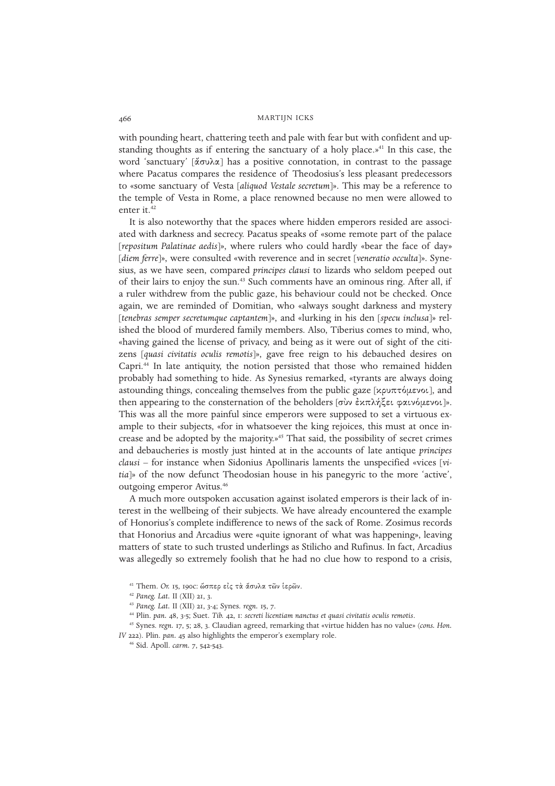with pounding heart, chattering teeth and pale with fear but with confident and upstanding thoughts as if entering the sanctuary of a holy place. $v^{41}$  In this case, the word 'sanctuary'  $\lceil \frac{d}{d} \sigma v \lambda \alpha \rceil$  has a positive connotation, in contrast to the passage where Pacatus compares the residence of Theodosius's less pleasant predecessors to «some sanctuary of Vesta [*aliquod Vestale secretum*]». This may be a reference to the temple of Vesta in Rome, a place renowned because no men were allowed to enter it.<sup>42</sup>

It is also noteworthy that the spaces where hidden emperors resided are associated with darkness and secrecy. Pacatus speaks of «some remote part of the palace [*repositum Palatinae aedis*]», where rulers who could hardly «bear the face of day» [*diem ferre*]», were consulted «with reverence and in secret [*veneratio occulta*]». Synesius, as we have seen, compared *principes clausi* to lizards who seldom peeped out of their lairs to enjoy the sun.<sup>43</sup> Such comments have an ominous ring. After all, if a ruler withdrew from the public gaze, his behaviour could not be checked. Once again, we are reminded of Domitian, who «always sought darkness and mystery [*tenebras semper secretumque captantem*]», and «lurking in his den [*specu inclusa*]» relished the blood of murdered family members. Also, Tiberius comes to mind, who, «having gained the license of privacy, and being as it were out of sight of the citizens [*quasi civitatis oculis remotis*]», gave free reign to his debauched desires on Capri.<sup>44</sup> In late antiquity, the notion persisted that those who remained hidden probably had something to hide. As Synesius remarked, «tyrants are always doing astounding things, concealing themselves from the public gaze [ $\kappa$ ρυπτόμενοι], and then appearing to the consternation of the beholders [σὺν ἐχπλήξει φαινόμενοι]». This was all the more painful since emperors were supposed to set a virtuous example to their subjects, «for in whatsoever the king rejoices, this must at once increase and be adopted by the majority.»<sup>45</sup> That said, the possibility of secret crimes and debaucheries is mostly just hinted at in the accounts of late antique *principes clausi* – for instance when Sidonius Apollinaris laments the unspecified «vices [*vitia*]» of the now defunct Theodosian house in his panegyric to the more 'active', outgoing emperor Avitus.<sup>46</sup>

A much more outspoken accusation against isolated emperors is their lack of interest in the wellbeing of their subjects. We have already encountered the example of Honorius's complete indifference to news of the sack of Rome. Zosimus records that Honorius and Arcadius were «quite ignorant of what was happening», leaving matters of state to such trusted underlings as Stilicho and Rufinus. In fact, Arcadius was allegedly so extremely foolish that he had no clue how to respond to a crisis,

<sup>&</sup>lt;sup>41</sup> Them. Or. 15, 190c: ώσπερ είς τα άσυλα των ίερων.

<sup>42</sup> *Paneg. Lat.* II (XII) 21, 3.

<sup>43</sup> *Paneg. Lat.* II (XII) 21, 3-4; Synes. *regn.* 15, 7.

<sup>44</sup> Plin. *pan.* 48, 3-5; Suet. *Tib.* 42, 1: *secreti licentiam nanctus et quasi civitatis oculis remotis*.

<sup>45</sup> Synes. *regn.* 17, 5; 28, 3. Claudian agreed, remarking that «virtue hidden has no value» (*cons. Hon. IV* 222). Plin. *pan.* 45 also highlights the emperor's exemplary role.

<sup>46</sup> Sid. Apoll. *carm.* 7, 542-543.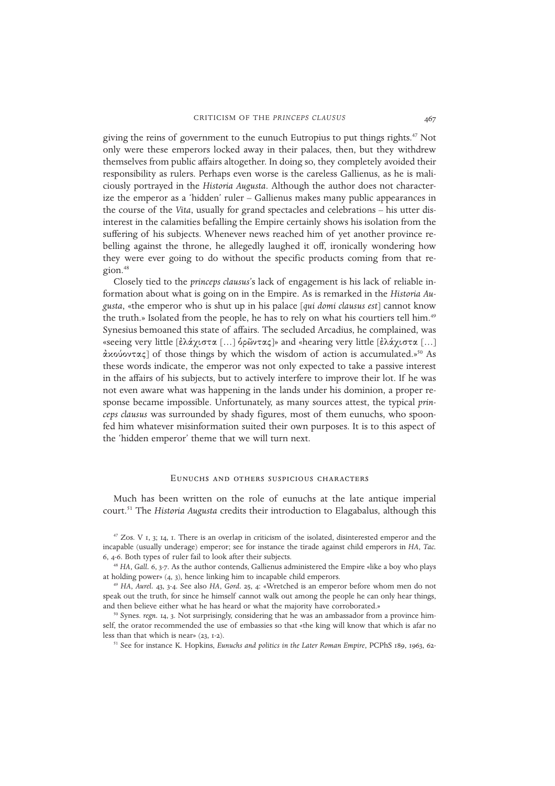giving the reins of government to the eunuch Eutropius to put things rights.<sup>47</sup> Not only were these emperors locked away in their palaces, then, but they withdrew themselves from public affairs altogether. In doing so, they completely avoided their responsibility as rulers. Perhaps even worse is the careless Gallienus, as he is maliciously portrayed in the *Historia Augusta*. Although the author does not characterize the emperor as a 'hidden' ruler – Gallienus makes many public appearances in the course of the *Vita*, usually for grand spectacles and celebrations – his utter disinterest in the calamities befalling the Empire certainly shows his isolation from the suffering of his subjects. Whenever news reached him of yet another province rebelling against the throne, he allegedly laughed it off, ironically wondering how they were ever going to do without the specific products coming from that region.<sup>48</sup>

Closely tied to the *princeps clausus*'s lack of engagement is his lack of reliable information about what is going on in the Empire. As is remarked in the *Historia Augusta*, «the emperor who is shut up in his palace [*qui domi clausus est*] cannot know the truth.» Isolated from the people, he has to rely on what his courtiers tell him.<sup>49</sup> Synesius bemoaned this state of affairs. The secluded Arcadius, he complained, was «seeing very little [ελάγιστα [...] δρῶντας]» and «hearing very little [ελάγιστα [...]  $\alpha$ xovov $\alpha \in I$  of those things by which the wisdom of action is accumulated.»<sup>50</sup> As these words indicate, the emperor was not only expected to take a passive interest in the affairs of his subjects, but to actively interfere to improve their lot. If he was not even aware what was happening in the lands under his dominion, a proper response became impossible. Unfortunately, as many sources attest, the typical *princeps clausus* was surrounded by shady figures, most of them eunuchs, who spoonfed him whatever misinformation suited their own purposes. It is to this aspect of the 'hidden emperor' theme that we will turn next.

#### Eunuchs and others suspicious characters

Much has been written on the role of eunuchs at the late antique imperial court.<sup>51</sup> The *Historia Augusta* credits their introduction to Elagabalus, although this

 $47$  Zos. V 1, 3; 14, 1. There is an overlap in criticism of the isolated, disinterested emperor and the incapable (usually underage) emperor; see for instance the tirade against child emperors in *HA*, *Tac.* 6, 4-6. Both types of ruler fail to look after their subjects.

<sup>48</sup> HA, Gall. 6, 3-7. As the author contends, Gallienus administered the Empire «like a boy who plays at holding power» (4, 3), hence linking him to incapable child emperors.

<sup>49</sup> *HA*, *Aurel.* 43, 3-4. See also *HA*, *Gord.* 25, 4: «Wretched is an emperor before whom men do not speak out the truth, for since he himself cannot walk out among the people he can only hear things, and then believe either what he has heard or what the majority have corroborated.»

<sup>50</sup> Synes. *regn.* 14, 3. Not surprisingly, considering that he was an ambassador from a province himself, the orator recommended the use of embassies so that «the king will know that which is afar no less than that which is near» (23, 1-2).

<sup>51</sup> See for instance K. Hopkins, *Eunuchs and politics in the Later Roman Empire*, PCPhS 189, 1963, 62-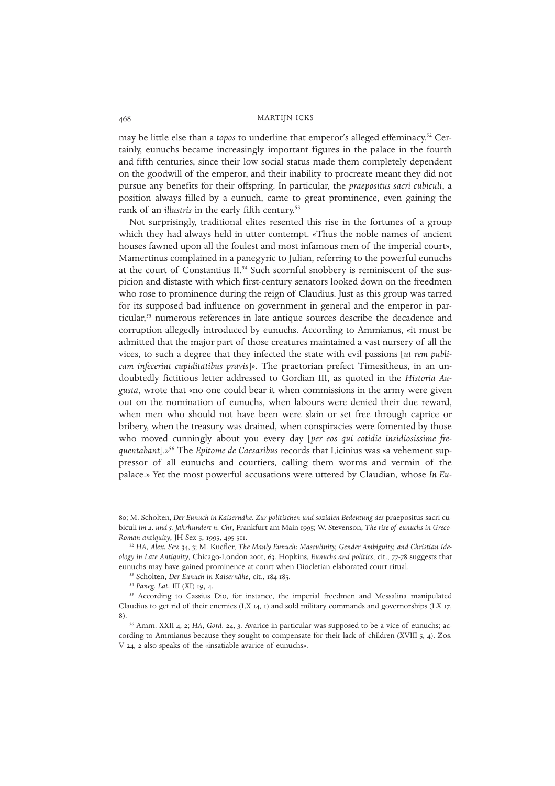may be little else than a *topos* to underline that emperor's alleged effeminacy.<sup>52</sup> Certainly, eunuchs became increasingly important figures in the palace in the fourth and fifth centuries, since their low social status made them completely dependent on the goodwill of the emperor, and their inability to procreate meant they did not pursue any benefits for their offspring. In particular, the *praepositus sacri cubiculi*, a position always filled by a eunuch, came to great prominence, even gaining the rank of an *illustris* in the early fifth century.<sup>53</sup>

Not surprisingly, traditional elites resented this rise in the fortunes of a group which they had always held in utter contempt. «Thus the noble names of ancient houses fawned upon all the foulest and most infamous men of the imperial court», Mamertinus complained in a panegyric to Julian, referring to the powerful eunuchs at the court of Constantius II.<sup>54</sup> Such scornful snobbery is reminiscent of the suspicion and distaste with which first-century senators looked down on the freedmen who rose to prominence during the reign of Claudius. Just as this group was tarred for its supposed bad influence on government in general and the emperor in particular,<sup>55</sup> numerous references in late antique sources describe the decadence and corruption allegedly introduced by eunuchs. According to Ammianus, «it must be admitted that the major part of those creatures maintained a vast nursery of all the vices, to such a degree that they infected the state with evil passions [*ut rem publicam infecerint cupiditatibus pravis*]». The praetorian prefect Timesitheus, in an undoubtedly fictitious letter addressed to Gordian III, as quoted in the *Historia Augusta*, wrote that «no one could bear it when commissions in the army were given out on the nomination of eunuchs, when labours were denied their due reward, when men who should not have been were slain or set free through caprice or bribery, when the treasury was drained, when conspiracies were fomented by those who moved cunningly about you every day [*per eos qui cotidie insidiosissime frequentabant*].»<sup>56</sup> The *Epitome de Caesaribus* records that Licinius was «a vehement suppressor of all eunuchs and courtiers, calling them worms and vermin of the palace.» Yet the most powerful accusations were uttered by Claudian, whose *In Eu-*

<sup>53</sup> Scholten, *Der Eunuch in Kaisernähe*, cit., 184-185.

<sup>80</sup>; M. Scholten, *Der Eunuch in Kaisernähe. Zur politischen und sozialen Bedeutung des* praepositus sacri cubiculi *im 4. und 5. Jahrhundert n. Chr*, Frankfurt am Main 1995; W. Stevenson, *The rise of eunuchs in Greco-Roman antiquity*, JH Sex 5, 1995, 495-511.

<sup>52</sup> *HA*, *Alex. Sev.* 34, 3; M. Kuefler, *The Manly Eunuch: Masculinity, Gender Ambiguity, and Christian Ideology in Late Antiquity*, Chicago-London 2001, 63. Hopkins, *Eunuchs and politics*, cit., 77-78 suggests that eunuchs may have gained prominence at court when Diocletian elaborated court ritual.

<sup>54</sup> *Paneg. Lat.* III (XI) 19, 4.

<sup>&</sup>lt;sup>55</sup> According to Cassius Dio, for instance, the imperial freedmen and Messalina manipulated Claudius to get rid of their enemies (LX  $14$ ,  $1)$  and sold military commands and governorships (LX  $17$ , 8).

<sup>56</sup> Amm. XXII 4, 2; *HA*, *Gord.* 24, 3. Avarice in particular was supposed to be a vice of eunuchs; according to Ammianus because they sought to compensate for their lack of children (XVIII 5, 4). Zos. V 24, 2 also speaks of the «insatiable avarice of eunuchs».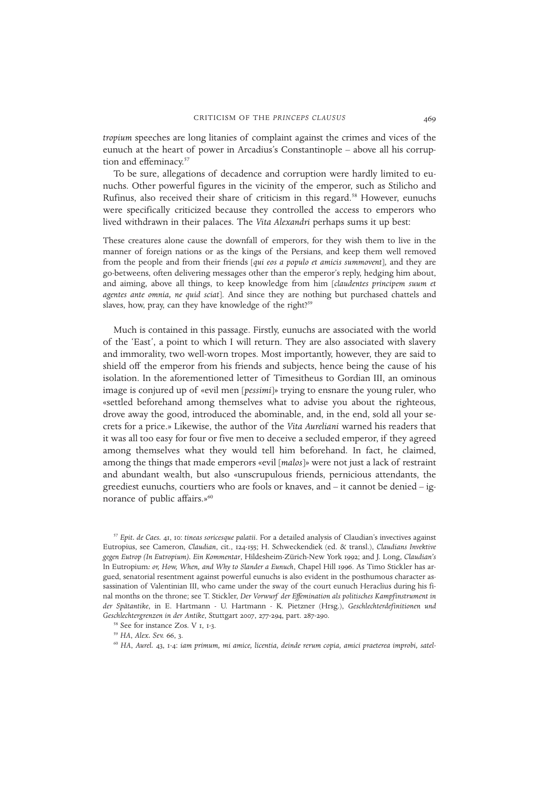*tropium* speeches are long litanies of complaint against the crimes and vices of the eunuch at the heart of power in Arcadius's Constantinople – above all his corruption and effeminacy.<sup>57</sup>

To be sure, allegations of decadence and corruption were hardly limited to eunuchs. Other powerful figures in the vicinity of the emperor, such as Stilicho and Rufinus, also received their share of criticism in this regard.<sup>58</sup> However, eunuchs were specifically criticized because they controlled the access to emperors who lived withdrawn in their palaces. The *Vita Alexandri* perhaps sums it up best:

These creatures alone cause the downfall of emperors, for they wish them to live in the manner of foreign nations or as the kings of the Persians, and keep them well removed from the people and from their friends [*qui eos a populo et amicis summovent*], and they are go-betweens, often delivering messages other than the emperor's reply, hedging him about, and aiming, above all things, to keep knowledge from him [*claudentes principem suum et agentes ante omnia, ne quid sciat*]. And since they are nothing but purchased chattels and slaves, how, pray, can they have knowledge of the right?<sup>59</sup>

Much is contained in this passage. Firstly, eunuchs are associated with the world of the 'East', a point to which I will return. They are also associated with slavery and immorality, two well-worn tropes. Most importantly, however, they are said to shield off the emperor from his friends and subjects, hence being the cause of his isolation. In the aforementioned letter of Timesitheus to Gordian III, an ominous image is conjured up of «evil men [*pessimi*]» trying to ensnare the young ruler, who «settled beforehand among themselves what to advise you about the righteous, drove away the good, introduced the abominable, and, in the end, sold all your secrets for a price.» Likewise, the author of the *Vita Aureliani* warned his readers that it was all too easy for four or five men to deceive a secluded emperor, if they agreed among themselves what they would tell him beforehand. In fact, he claimed, among the things that made emperors «evil [*malos*]» were not just a lack of restraint and abundant wealth, but also «unscrupulous friends, pernicious attendants, the greediest eunuchs, courtiers who are fools or knaves, and – it cannot be denied – ignorance of public affairs.»<sup>60</sup>

<sup>57</sup> *Epit. de Caes.* 41, 10: *tineas soricesque palatii*. For a detailed analysis of Claudian's invectives against Eutropius, see Cameron, *Claudian*, cit., 124-155; H. Schweckendiek (ed. & transl.), *Claudians Invektive gegen Eutrop (In Eutropium). Ein Kommentar*, Hildesheim-Zürich-New York 1992; and J. Long, *Claudian's* In Eutropium*: or, How, When, and Why to Slander a Eunuch*, Chapel Hill 1996. As Timo Stickler has argued, senatorial resentment against powerful eunuchs is also evident in the posthumous character assassination of Valentinian III, who came under the sway of the court eunuch Heraclius during his final months on the throne; see T. Stickler, *Der Vorwurf der Effemination als politisches Kampfinstrument in der Spätantike*, in E. Hartmann - U. Hartmann - K. Pietzner (Hrsg.), *Geschlechterdefinitionen und Geschlechtergrenzen in der Antike*, Stuttgart 2007, 277-294, part. 287-290.

<sup>58</sup> See for instance Zos. V 1, 1-3.

<sup>59</sup> *HA*, *Alex. Sev.* 66, 3.

<sup>60</sup> *HA*, *Aurel.* 43, 1-4: *iam primum, mi amice, licentia, deinde rerum copia, amici praeterea improbi, satel-*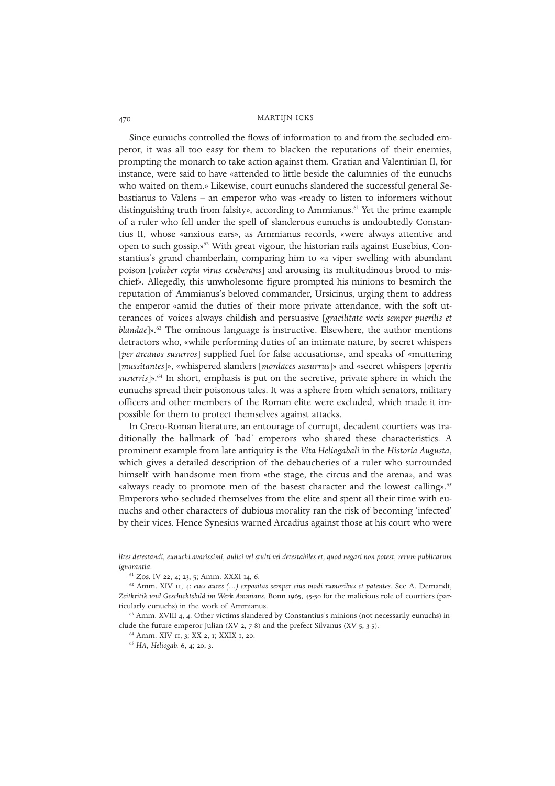Since eunuchs controlled the flows of information to and from the secluded emperor, it was all too easy for them to blacken the reputations of their enemies, prompting the monarch to take action against them. Gratian and Valentinian II, for instance, were said to have «attended to little beside the calumnies of the eunuchs who waited on them.» Likewise, court eunuchs slandered the successful general Sebastianus to Valens – an emperor who was «ready to listen to informers without distinguishing truth from falsity», according to Ammianus.<sup>61</sup> Yet the prime example of a ruler who fell under the spell of slanderous eunuchs is undoubtedly Constantius II, whose «anxious ears», as Ammianus records, «were always attentive and open to such gossip.»<sup>62</sup> With great vigour, the historian rails against Eusebius, Constantius's grand chamberlain, comparing him to «a viper swelling with abundant poison [*coluber copia virus exuberans*] and arousing its multitudinous brood to mischief». Allegedly, this unwholesome figure prompted his minions to besmirch the reputation of Ammianus's beloved commander, Ursicinus, urging them to address the emperor «amid the duties of their more private attendance, with the soft utterances of voices always childish and persuasive [*gracilitate vocis semper puerilis et blandae*]».<sup>63</sup> The ominous language is instructive. Elsewhere, the author mentions detractors who, «while performing duties of an intimate nature, by secret whispers [*per arcanos susurros*] supplied fuel for false accusations», and speaks of «muttering [*mussitantes*]», «whispered slanders [*mordaces susurrus*]» and «secret whispers [*opertis susurris*]».<sup>64</sup> In short, emphasis is put on the secretive, private sphere in which the eunuchs spread their poisonous tales. It was a sphere from which senators, military officers and other members of the Roman elite were excluded, which made it impossible for them to protect themselves against attacks.

In Greco-Roman literature, an entourage of corrupt, decadent courtiers was traditionally the hallmark of 'bad' emperors who shared these characteristics. A prominent example from late antiquity is the *Vita Heliogabali* in the *Historia Augusta*, which gives a detailed description of the debaucheries of a ruler who surrounded himself with handsome men from «the stage, the circus and the arena», and was «always ready to promote men of the basest character and the lowest calling».<sup>65</sup> Emperors who secluded themselves from the elite and spent all their time with eunuchs and other characters of dubious morality ran the risk of becoming 'infected' by their vices. Hence Synesius warned Arcadius against those at his court who were

*lites detestandi, eunuchi avarissimi, aulici vel stulti vel detestabiles et, quod negari non potest, rerum publicarum ignorantia.*

<sup>61</sup> Zos. IV 22, 4; 23, 5; Amm. XXXI 14, 6.

<sup>62</sup> Amm. XIV 11, 4: *eius aures (…) expositas semper eius modi rumoribus et patentes*. See A. Demandt, *Zeitkritik und Geschichtsbild im Werk Ammians*, Bonn 1965, 45-50 for the malicious role of courtiers (particularly eunuchs) in the work of Ammianus.

 $63$  Amm. XVIII 4, 4. Other victims slandered by Constantius's minions (not necessarily eunuchs) include the future emperor Julian (XV 2, 7-8) and the prefect Silvanus (XV 5, 3-5).

<sup>64</sup> Amm. XIV 11, 3; XX 2, 1; XXIX 1, 20.

<sup>65</sup> *HA*, *Heliogab.* 6, 4; 20, 3.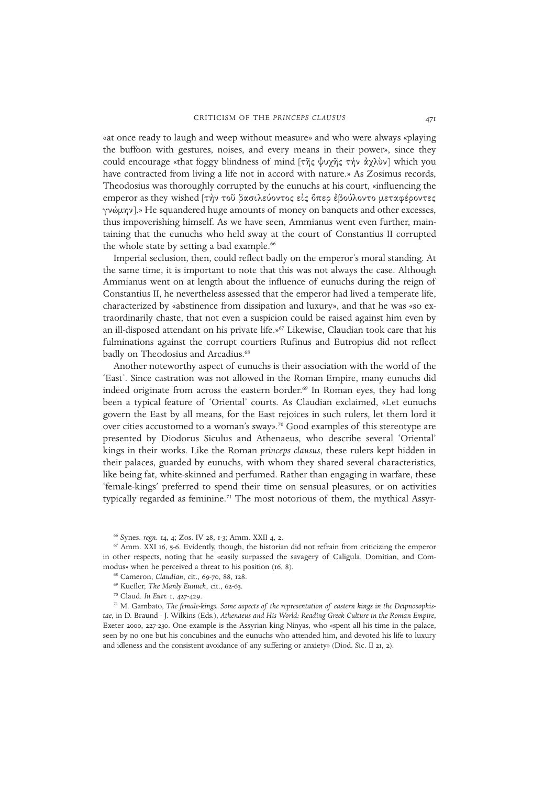«at once ready to laugh and weep without measure» and who were always «playing the buffoon with gestures, noises, and every means in their power», since they could encourage «that foggy blindness of mind [της ψυχης την άχλυν] which you have contracted from living a life not in accord with nature.» As Zosimus records, Theodosius was thoroughly corrupted by the eunuchs at his court, «influencing the emperor as they wished [τήν τοῦ βασιλεύοντος εἰς ὅπερ ἐβούλοντο μεταφέροντες γνώμην].» He squandered huge amounts of money on banquets and other excesses, thus impoverishing himself. As we have seen, Ammianus went even further, maintaining that the eunuchs who held sway at the court of Constantius II corrupted the whole state by setting a bad example.<sup>66</sup>

Imperial seclusion, then, could reflect badly on the emperor's moral standing. At the same time, it is important to note that this was not always the case. Although Ammianus went on at length about the influence of eunuchs during the reign of Constantius II, he nevertheless assessed that the emperor had lived a temperate life, characterized by «abstinence from dissipation and luxury», and that he was «so extraordinarily chaste, that not even a suspicion could be raised against him even by an ill-disposed attendant on his private life.» $67$  Likewise, Claudian took care that his fulminations against the corrupt courtiers Rufinus and Eutropius did not reflect badly on Theodosius and Arcadius.<sup>68</sup>

Another noteworthy aspect of eunuchs is their association with the world of the 'East'. Since castration was not allowed in the Roman Empire, many eunuchs did indeed originate from across the eastern border.<sup>69</sup> In Roman eyes, they had long been a typical feature of 'Oriental' courts. As Claudian exclaimed, «Let eunuchs govern the East by all means, for the East rejoices in such rulers, let them lord it over cities accustomed to a woman's sway».<sup>70</sup> Good examples of this stereotype are presented by Diodorus Siculus and Athenaeus, who describe several 'Oriental' kings in their works. Like the Roman *princeps clausus*, these rulers kept hidden in their palaces, guarded by eunuchs, with whom they shared several characteristics, like being fat, white-skinned and perfumed. Rather than engaging in warfare, these 'female-kings' preferred to spend their time on sensual pleasures, or on activities typically regarded as feminine.<sup>71</sup> The most notorious of them, the mythical Assyr-

<sup>71</sup> M. Gambato, *The female-kings. Some aspects of the representation of eastern kings in the Deipnosophistae*, in D. Braund - J. Wilkins (Eds.), *Athenaeus and His World: Reading Greek Culture in the Roman Empire*, Exeter 2000, 227-230. One example is the Assyrian king Ninyas, who «spent all his time in the palace, seen by no one but his concubines and the eunuchs who attended him, and devoted his life to luxury and idleness and the consistent avoidance of any suffering or anxiety» (Diod. Sic. II 21, 2).

<sup>66</sup> Synes. *regn.* 14, 4; Zos. IV 28, 1-3; Amm. XXII 4, 2.

 $67$  Amm. XXI 16, 5-6. Evidently, though, the historian did not refrain from criticizing the emperor in other respects, noting that he «easily surpassed the savagery of Caligula, Domitian, and Commodus» when he perceived a threat to his position (16, 8).

<sup>68</sup> Cameron, *Claudian*, cit., 69-70, 88, 128.

<sup>69</sup> Kuefler, *The Manly Eunuch*, cit., 62-63.

<sup>70</sup> Claud. *In Eutr.* 1, 427-429.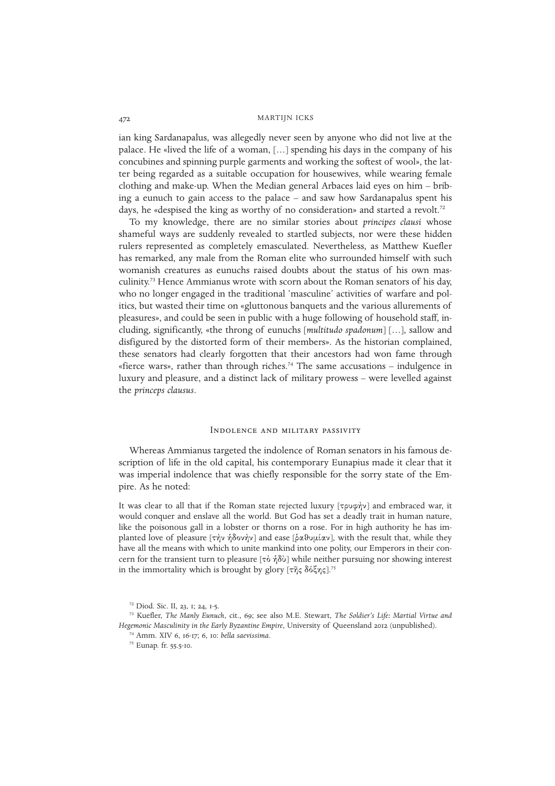ian king Sardanapalus, was allegedly never seen by anyone who did not live at the palace. He «lived the life of a woman, […] spending his days in the company of his concubines and spinning purple garments and working the softest of wool», the latter being regarded as a suitable occupation for housewives, while wearing female clothing and make-up. When the Median general Arbaces laid eyes on him – bribing a eunuch to gain access to the palace – and saw how Sardanapalus spent his days, he «despised the king as worthy of no consideration» and started a revolt.<sup>72</sup>

To my knowledge, there are no similar stories about *principes clausi* whose shameful ways are suddenly revealed to startled subjects, nor were these hidden rulers represented as completely emasculated. Nevertheless, as Matthew Kuefler has remarked, any male from the Roman elite who surrounded himself with such womanish creatures as eunuchs raised doubts about the status of his own masculinity.<sup>73</sup> Hence Ammianus wrote with scorn about the Roman senators of his day, who no longer engaged in the traditional 'masculine' activities of warfare and politics, but wasted their time on «gluttonous banquets and the various allurements of pleasures», and could be seen in public with a huge following of household staff, including, significantly, «the throng of eunuchs [*multitudo spadonum*] […], sallow and disfigured by the distorted form of their members». As the historian complained, these senators had clearly forgotten that their ancestors had won fame through «fierce wars», rather than through riches.<sup>74</sup> The same accusations – indulgence in luxury and pleasure, and a distinct lack of military prowess – were levelled against the *princeps clausus*.

#### Indolence and military passivity

Whereas Ammianus targeted the indolence of Roman senators in his famous description of life in the old capital, his contemporary Eunapius made it clear that it was imperial indolence that was chiefly responsible for the sorry state of the Empire. As he noted:

It was clear to all that if the Roman state rejected luxury  $[\tau \rho v \phi \gamma]$  and embraced war, it would conquer and enslave all the world. But God has set a deadly trait in human nature, like the poisonous gall in a lobster or thorns on a rose. For in high authority he has implanted love of pleasure  $[\tau \gamma \gamma \gamma \gamma \delta \omega \gamma \gamma]$  and ease  $[\delta \alpha \vartheta \upsilon \mu \alpha \upsilon]$ , with the result that, while they have all the means with which to unite mankind into one polity, our Emperors in their concern for the transient turn to pleasure  $[\tau \delta \eta \delta \delta \psi]$  while neither pursuing nor showing interest in the immortality which is brought by glory  $[\tau \tilde{\eta} \zeta \delta \delta \xi \eta \zeta]$ .<sup>75</sup>

<sup>72</sup> Diod. Sic. II, 23, 1; 24, 1-5.

<sup>73</sup> Kuefler, *The Manly Eunuch*, cit., 69; see also M.E. Stewart, *The Soldier's Life: Martial Virtue and Hegemonic Masculinity in the Early Byzantine Empire*, University of Queensland 2012 (unpublished).

<sup>74</sup> Amm. XIV 6, 16-17; 6, 10: *bella saevissima*.

<sup>75</sup> Eunap. fr. 55.5-10.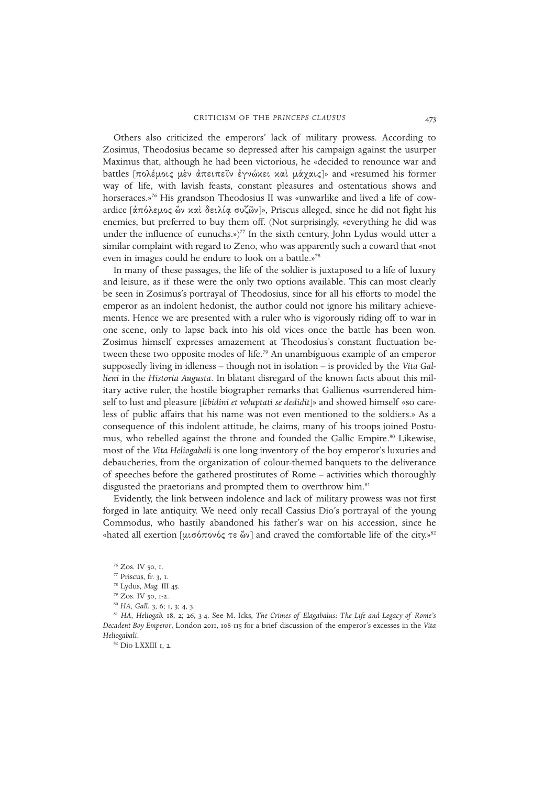Others also criticized the emperors' lack of military prowess. According to Zosimus, Theodosius became so depressed after his campaign against the usurper Maximus that, although he had been victorious, he «decided to renounce war and battles [πολέμοις μεν άπειπεῖν εγνώχει χαὶ μάχαις]» and «resumed his former way of life, with lavish feasts, constant pleasures and ostentatious shows and horseraces.»<sup>76</sup> His grandson Theodosius II was «unwarlike and lived a life of cowardice [άπόλεμος ὢν καὶ δειλία συζῶν]», Priscus alleged, since he did not fight his enemies, but preferred to buy them off. (Not surprisingly, «everything he did was under the influence of eunuchs.»)<sup>77</sup> In the sixth century, John Lydus would utter a similar complaint with regard to Zeno, who was apparently such a coward that «not even in images could he endure to look on a battle.»<sup>78</sup>

In many of these passages, the life of the soldier is juxtaposed to a life of luxury and leisure, as if these were the only two options available. This can most clearly be seen in Zosimus's portrayal of Theodosius, since for all his efforts to model the emperor as an indolent hedonist, the author could not ignore his military achievements. Hence we are presented with a ruler who is vigorously riding off to war in one scene, only to lapse back into his old vices once the battle has been won. Zosimus himself expresses amazement at Theodosius's constant fluctuation between these two opposite modes of life.<sup>79</sup> An unambiguous example of an emperor supposedly living in idleness – though not in isolation – is provided by the *Vita Gallieni* in the *Historia Augusta*. In blatant disregard of the known facts about this military active ruler, the hostile biographer remarks that Gallienus «surrendered himself to lust and pleasure [*libidini et voluptati se dedidit*]» and showed himself «so careless of public affairs that his name was not even mentioned to the soldiers.» As a consequence of this indolent attitude, he claims, many of his troops joined Postumus, who rebelled against the throne and founded the Gallic Empire.<sup>80</sup> Likewise, most of the *Vita Heliogabali* is one long inventory of the boy emperor's luxuries and debaucheries, from the organization of colour-themed banquets to the deliverance of speeches before the gathered prostitutes of Rome – activities which thoroughly disgusted the praetorians and prompted them to overthrow him.<sup>81</sup>

Evidently, the link between indolence and lack of military prowess was not first forged in late antiquity. We need only recall Cassius Dio's portrayal of the young Commodus, who hastily abandoned his father's war on his accession, since he «hated all exertion [μισόπονός τε ὢν] and craved the comfortable life of the city.»<sup>82</sup>

<sup>81</sup> *HA*, *Heliogab.* 18, 2; 26, 3-4. See M. Icks, *The Crimes of Elagabalus: The Life and Legacy of Rome's Decadent Boy Emperor*, London 2011, 108-115 for a brief discussion of the emperor's excesses in the *Vita Heliogabali*.

 $82$  Dio LXXIII 1, 2.

<sup>76</sup> Zos. IV 50, 1.

<sup>77</sup> Priscus, fr. 3, 1.

<sup>78</sup> Lydus, *Mag.* III 45.

<sup>79</sup> Zos. IV 50, 1-2.

<sup>80</sup> *HA*, *Gall.* 3, 6; 1, 3; 4, 3.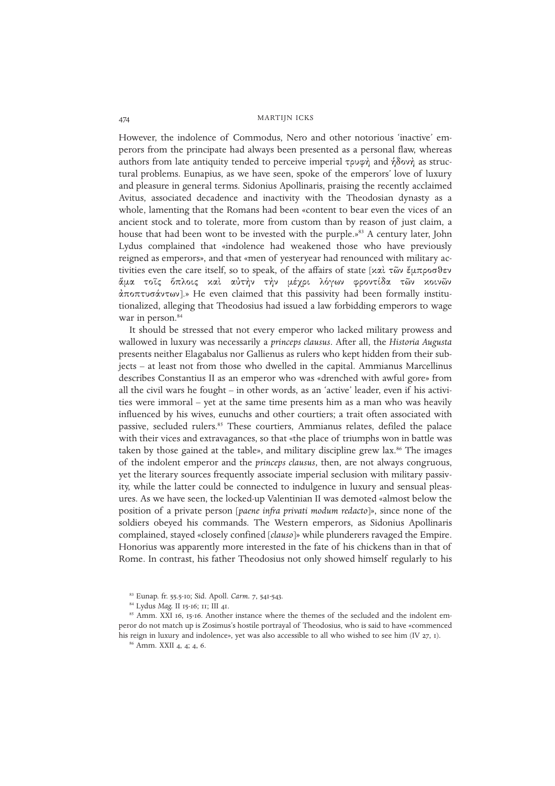However, the indolence of Commodus, Nero and other notorious 'inactive' emperors from the principate had always been presented as a personal flaw, whereas authors from late antiquity tended to perceive imperial  $\tau \rho \nu \varphi \gamma$  and  $\eta \delta \nu \gamma$  as structural problems. Eunapius, as we have seen, spoke of the emperors' love of luxury and pleasure in general terms. Sidonius Apollinaris, praising the recently acclaimed Avitus, associated decadence and inactivity with the Theodosian dynasty as a whole, lamenting that the Romans had been «content to bear even the vices of an ancient stock and to tolerate, more from custom than by reason of just claim, a house that had been wont to be invested with the purple.»<sup>83</sup> A century later, John Lydus complained that «indolence had weakened those who have previously reigned as emperors», and that «men of yesteryear had renounced with military activities even the care itself, so to speak, of the affairs of state  $[\times \alpha \times \alpha]$   $\sim$   $\alpha$  $\rightarrow$   $\alpha$  $\rightarrow$ άμα τοῖς ὅπλοις καὶ αὐτὴν τὴν μέγρι λόγων φροντίδα τῶν κοινῶν άποπτυσάντων].» He even claimed that this passivity had been formally institutionalized, alleging that Theodosius had issued a law forbidding emperors to wage war in person.<sup>84</sup>

It should be stressed that not every emperor who lacked military prowess and wallowed in luxury was necessarily a *princeps clausus*. After all, the *Historia Augusta* presents neither Elagabalus nor Gallienus as rulers who kept hidden from their subjects – at least not from those who dwelled in the capital. Ammianus Marcellinus describes Constantius II as an emperor who was «drenched with awful gore» from all the civil wars he fought – in other words, as an 'active' leader, even if his activities were immoral – yet at the same time presents him as a man who was heavily influenced by his wives, eunuchs and other courtiers; a trait often associated with passive, secluded rulers.<sup>85</sup> These courtiers, Ammianus relates, defiled the palace with their vices and extravagances, so that «the place of triumphs won in battle was taken by those gained at the table», and military discipline grew lax.<sup>86</sup> The images of the indolent emperor and the *princeps clausus*, then, are not always congruous, yet the literary sources frequently associate imperial seclusion with military passivity, while the latter could be connected to indulgence in luxury and sensual pleasures. As we have seen, the locked-up Valentinian II was demoted «almost below the position of a private person [*paene infra privati modum redacto*]», since none of the soldiers obeyed his commands. The Western emperors, as Sidonius Apollinaris complained, stayed «closely confined [*clauso*]» while plunderers ravaged the Empire. Honorius was apparently more interested in the fate of his chickens than in that of Rome. In contrast, his father Theodosius not only showed himself regularly to his

<sup>83</sup> Eunap. fr. 55.5-10; Sid. Apoll. *Carm.* 7, 541-543.

<sup>84</sup> Lydus *Mag.* II 15-16; 11; III 41.

<sup>&</sup>lt;sup>85</sup> Amm. XXI 16, 15-16. Another instance where the themes of the secluded and the indolent emperor do not match up is Zosimus's hostile portrayal of Theodosius, who is said to have «commenced his reign in luxury and indolence», yet was also accessible to all who wished to see him (IV 27, 1).

<sup>86</sup> Amm. XXII 4, 4; 4, 6.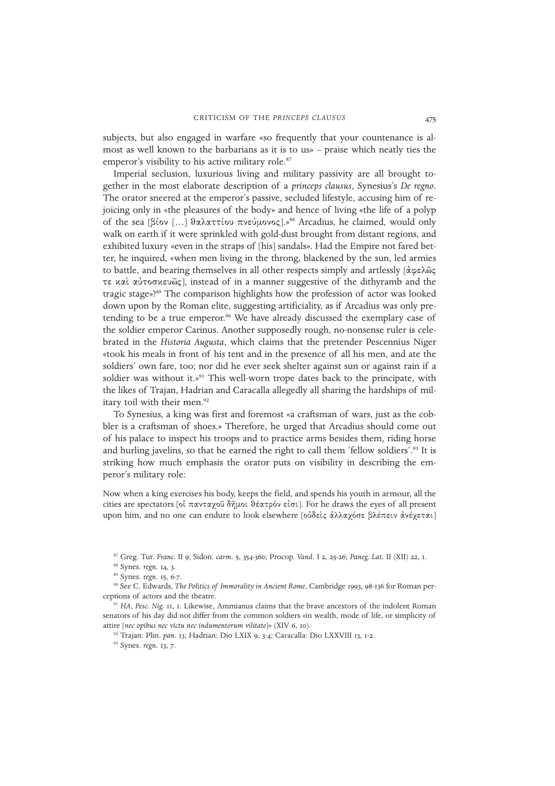subjects, but also engaged in warfare «so frequently that your countenance is almost as well known to the barbarians as it is to us» – praise which neatly ties the emperor's visibility to his active military role.<sup>87</sup>

Imperial seclusion, luxurious living and military passivity are all brought together in the most elaborate description of a *princeps clausus*, Synesius's *De regno*. The orator sneered at the emperor's passive, secluded lifestyle, accusing him of rejoicing only in «the pleasures of the body» and hence of living «the life of a polyp of the sea  $[\beta$ ίον [...] θαλαττίου πνεύμονος].»<sup>88</sup> Arcadius, he claimed, would only walk on earth if it were sprinkled with gold-dust brought from distant regions, and exhibited luxury «even in the straps of [his] sandals». Had the Empire not fared better, he inquired, «when men living in the throng, blackened by the sun, led armies to battle, and bearing themselves in all other respects simply and artlessly [άφελῶς τε καὶ αὐτοσκευῶς], instead of in a manner suggestive of the dithyramb and the tragic stage»?<sup>89</sup> The comparison highlights how the profession of actor was looked down upon by the Roman elite, suggesting artificiality, as if Arcadius was only pretending to be a true emperor.<sup>90</sup> We have already discussed the exemplary case of the soldier emperor Carinus. Another supposedly rough, no-nonsense ruler is celebrated in the *Historia Augusta*, which claims that the pretender Pescennius Niger «took his meals in front of his tent and in the presence of all his men, and ate the soldiers' own fare, too; nor did he ever seek shelter against sun or against rain if a soldier was without it.»<sup>91</sup> This well-worn trope dates back to the principate, with the likes of Trajan, Hadrian and Caracalla allegedly all sharing the hardships of military toil with their men.<sup>92</sup>

To Synesius, a king was first and foremost «a craftsman of wars, just as the cobbler is a craftsman of shoes.» Therefore, he urged that Arcadius should come out of his palace to inspect his troops and to practice arms besides them, riding horse and hurling javelins, so that he earned the right to call them 'fellow soldiers'.<sup>93</sup> It is striking how much emphasis the orator puts on visibility in describing the emperor's military role:

Now when a king exercises his body, keeps the field, and spends his youth in armour, all the cities are spectators [οί πανταχοῦ δῆμοι θέατρόν εἰσι]. For he draws the eyes of all present upon him, and no one can endure to look elsewhere [ούδεις άλλαχόσε βλέπειν άνέχεται]

<sup>87</sup> Greg. Tur. *Franc.* II 9; Sidon. *carm.* 5, 354-360; Procop. *Vand.* I 2, 25-26; *Paneg. Lat.* II (XII) 22, 1.

<sup>88</sup> Synes. *regn.* 14, 3.

<sup>89</sup> Synes. *regn.* 15, 6-7.

<sup>90</sup> See C. Edwards, *The Politics of Immorality in Ancient Rome*, Cambridge 1993, 98-136 for Roman perceptions of actors and the theatre.

<sup>91</sup> *HA*, *Pesc. Nig.* 11, 1. Likewise, Ammianus claims that the brave ancestors of the indolent Roman senators of his day did not differ from the common soldiers «in wealth, mode of life, or simplicity of attire [*nec opibus nec victu nec indumentorum vilitate*]» (XIV 6, 10).

<sup>92</sup> Trajan: Plin. *pan.* 13; Hadrian: Dio LXIX 9, 3-4; Caracalla: Dio LXXVIII 13, 1-2.

<sup>93</sup> Synes. *regn.* 13, 7.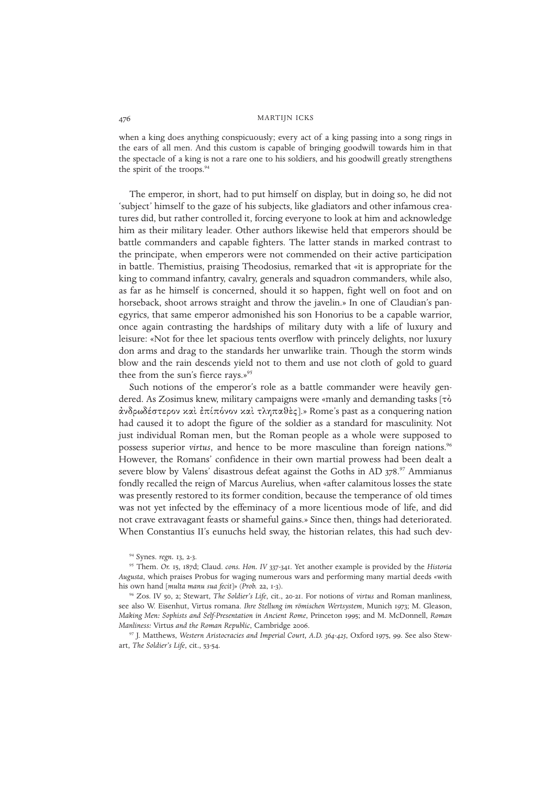when a king does anything conspicuously; every act of a king passing into a song rings in the ears of all men. And this custom is capable of bringing goodwill towards him in that the spectacle of a king is not a rare one to his soldiers, and his goodwill greatly strengthens the spirit of the troops.<sup>94</sup>

The emperor, in short, had to put himself on display, but in doing so, he did not 'subject' himself to the gaze of his subjects, like gladiators and other infamous creatures did, but rather controlled it, forcing everyone to look at him and acknowledge him as their military leader. Other authors likewise held that emperors should be battle commanders and capable fighters. The latter stands in marked contrast to the principate, when emperors were not commended on their active participation in battle. Themistius, praising Theodosius, remarked that «it is appropriate for the king to command infantry, cavalry, generals and squadron commanders, while also, as far as he himself is concerned, should it so happen, fight well on foot and on horseback, shoot arrows straight and throw the javelin.» In one of Claudian's panegyrics, that same emperor admonished his son Honorius to be a capable warrior, once again contrasting the hardships of military duty with a life of luxury and leisure: «Not for thee let spacious tents overflow with princely delights, nor luxury don arms and drag to the standards her unwarlike train. Though the storm winds blow and the rain descends yield not to them and use not cloth of gold to guard thee from the sun's fierce rays.»<sup>95</sup>

Such notions of the emperor's role as a battle commander were heavily gendered. As Zosimus knew, military campaigns were «manly and demanding tasks [ $\tau\dot{o}$ ] άνδρωδέστερον καὶ ἐπίπόνον καὶ τληπαθὲς].» Rome's past as a conquering nation had caused it to adopt the figure of the soldier as a standard for masculinity. Not just individual Roman men, but the Roman people as a whole were supposed to possess superior *virtus*, and hence to be more masculine than foreign nations.<sup>96</sup> However, the Romans' confidence in their own martial prowess had been dealt a severe blow by Valens' disastrous defeat against the Goths in AD 378.<sup>97</sup> Ammianus fondly recalled the reign of Marcus Aurelius, when «after calamitous losses the state was presently restored to its former condition, because the temperance of old times was not yet infected by the effeminacy of a more licentious mode of life, and did not crave extravagant feasts or shameful gains.» Since then, things had deteriorated. When Constantius II's eunuchs held sway, the historian relates, this had such dev-

<sup>94</sup> Synes. *regn.* 13, 2-3.

<sup>95</sup> Them. *Or.* 15, 187d; Claud. *cons. Hon. IV* 337-341. Yet another example is provided by the *Historia Augusta*, which praises Probus for waging numerous wars and performing many martial deeds «with his own hand [*multa manu sua fecit*]» (*Prob.* 22, 1-3).

<sup>96</sup> Zos. IV 50, 2; Stewart, *The Soldier's Life*, cit., 20-21. For notions of *virtus* and Roman manliness, see also W. Eisenhut, Virtus romana. *Ihre Stellung im römischen Wertsystem*, Munich 1973; M. Gleason, *Making Men: Sophists and Self-Presentation in Ancient Rome*, Princeton 1995; and M. McDonnell, *Roman Manliness:* Virtus *and the Roman Republic*, Cambridge 2006.

<sup>97</sup> J. Matthews, *Western Aristocracies and Imperial Court, A.D. 364-425*, Oxford 1975, 99. See also Stewart, *The Soldier's Life*, cit., 53-54.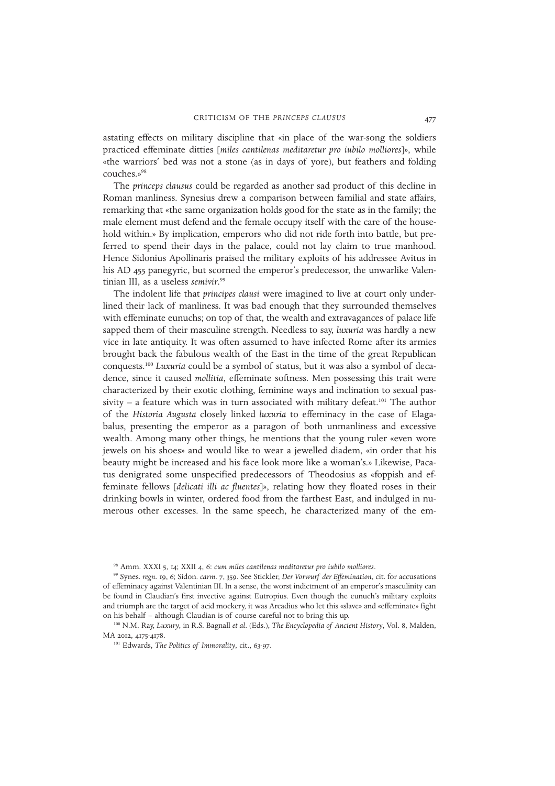astating effects on military discipline that «in place of the war-song the soldiers practiced effeminate ditties [*miles cantilenas meditaretur pro iubilo molliores*]», while «the warriors' bed was not a stone (as in days of yore), but feathers and folding couches.»<sup>98</sup>

The *princeps clausus* could be regarded as another sad product of this decline in Roman manliness. Synesius drew a comparison between familial and state affairs, remarking that «the same organization holds good for the state as in the family; the male element must defend and the female occupy itself with the care of the household within.» By implication, emperors who did not ride forth into battle, but preferred to spend their days in the palace, could not lay claim to true manhood. Hence Sidonius Apollinaris praised the military exploits of his addressee Avitus in his AD 455 panegyric, but scorned the emperor's predecessor, the unwarlike Valentinian III, as a useless *semivir*. 99

The indolent life that *principes clausi* were imagined to live at court only underlined their lack of manliness. It was bad enough that they surrounded themselves with effeminate eunuchs; on top of that, the wealth and extravagances of palace life sapped them of their masculine strength. Needless to say, *luxuria* was hardly a new vice in late antiquity. It was often assumed to have infected Rome after its armies brought back the fabulous wealth of the East in the time of the great Republican conquests.<sup>100</sup> *Luxuria* could be a symbol of status, but it was also a symbol of decadence, since it caused *mollitia*, effeminate softness. Men possessing this trait were characterized by their exotic clothing, feminine ways and inclination to sexual passivity - a feature which was in turn associated with military defeat.<sup>101</sup> The author of the *Historia Augusta* closely linked *luxuria* to effeminacy in the case of Elagabalus, presenting the emperor as a paragon of both unmanliness and excessive wealth. Among many other things, he mentions that the young ruler «even wore jewels on his shoes» and would like to wear a jewelled diadem, «in order that his beauty might be increased and his face look more like a woman's.» Likewise, Pacatus denigrated some unspecified predecessors of Theodosius as «foppish and effeminate fellows [*delicati illi ac fluentes*]», relating how they floated roses in their drinking bowls in winter, ordered food from the farthest East, and indulged in numerous other excesses. In the same speech, he characterized many of the em-

<sup>98</sup> Amm. XXXI 5, 14; XXII 4, 6: *cum miles cantilenas meditaretur pro iubilo molliores*.

<sup>99</sup> Synes. *regn.* 19, 6; Sidon. *carm.* 7, 359. See Stickler, *Der Vorwurf der Effemination*, cit. for accusations of effeminacy against Valentinian III. In a sense, the worst indictment of an emperor's masculinity can be found in Claudian's first invective against Eutropius. Even though the eunuch's military exploits and triumph are the target of acid mockery, it was Arcadius who let this «slave» and «effeminate» fight on his behalf – although Claudian is of course careful not to bring this up.

<sup>100</sup> N.M. Ray, *Luxury*, in R.S. Bagnall *et al*. (Eds.), *The Encyclopedia of Ancient History*, Vol. 8, Malden, MA 2012, 4175-4178.

<sup>101</sup> Edwards, *The Politics of Immorality*, cit., 63-97.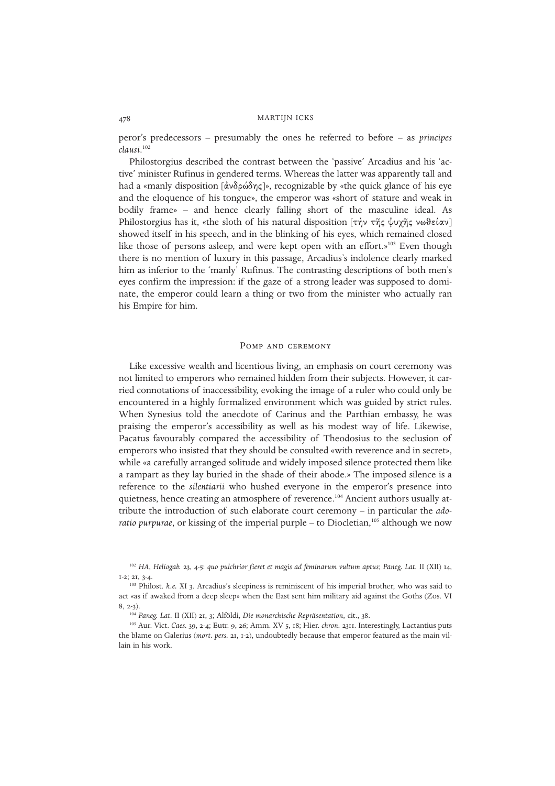peror's predecessors – presumably the ones he referred to before – as *principes clausi*. 102

Philostorgius described the contrast between the 'passive' Arcadius and his 'active' minister Rufinus in gendered terms. Whereas the latter was apparently tall and had a «manly disposition  $\lceil \frac{\dot{\alpha}}{\dot{\alpha}} \frac{\delta}{\dot{\alpha}} \frac{\delta}{\dot{\alpha}} \frac{\delta}{\dot{\alpha}} \rceil$ », recognizable by «the quick glance of his eye and the eloquence of his tongue», the emperor was «short of stature and weak in bodily frame» – and hence clearly falling short of the masculine ideal. As Philostorgius has it, «the sloth of his natural disposition  $[\tau \gamma \gamma \tau \eta \zeta \psi \gamma \eta \zeta \nu \omega \theta \epsilon (\alpha \nu)]$ showed itself in his speech, and in the blinking of his eyes, which remained closed like those of persons asleep, and were kept open with an effort.»<sup>103</sup> Even though there is no mention of luxury in this passage, Arcadius's indolence clearly marked him as inferior to the 'manly' Rufinus. The contrasting descriptions of both men's eyes confirm the impression: if the gaze of a strong leader was supposed to dominate, the emperor could learn a thing or two from the minister who actually ran his Empire for him.

#### Pomp and ceremony

Like excessive wealth and licentious living, an emphasis on court ceremony was not limited to emperors who remained hidden from their subjects. However, it carried connotations of inaccessibility, evoking the image of a ruler who could only be encountered in a highly formalized environment which was guided by strict rules. When Synesius told the anecdote of Carinus and the Parthian embassy, he was praising the emperor's accessibility as well as his modest way of life. Likewise, Pacatus favourably compared the accessibility of Theodosius to the seclusion of emperors who insisted that they should be consulted «with reverence and in secret», while «a carefully arranged solitude and widely imposed silence protected them like a rampart as they lay buried in the shade of their abode.» The imposed silence is a reference to the *silentiarii* who hushed everyone in the emperor's presence into quietness, hence creating an atmosphere of reverence.<sup>104</sup> Ancient authors usually attribute the introduction of such elaborate court ceremony – in particular the *adoratio purpurae*, or kissing of the imperial purple – to Diocletian,<sup>105</sup> although we now

<sup>102</sup> *HA*, *Heliogab.* 23, 4-5: *quo pulchrior fieret et magis ad feminarum vultum aptus*; *Paneg. Lat.* II (XII) 14, 1-2; 21, 3-4.

<sup>103</sup> Philost. *h.e.* XI 3. Arcadius's sleepiness is reminiscent of his imperial brother, who was said to act «as if awaked from a deep sleep» when the East sent him military aid against the Goths (Zos. VI  $8, 2-2)$ 

<sup>104</sup> *Paneg. Lat.* II (XII) 21, 3; Alföldi, *Die monarchische Repräsentation*, cit., 38.

<sup>105</sup> Aur. Vict. *Caes.* 39, 2-4; Eutr. 9, 26; Amm. XV 5, 18; Hier. *chron.* 2311. Interestingly, Lactantius puts the blame on Galerius (*mort. pers.* 21, 1-2), undoubtedly because that emperor featured as the main villain in his work.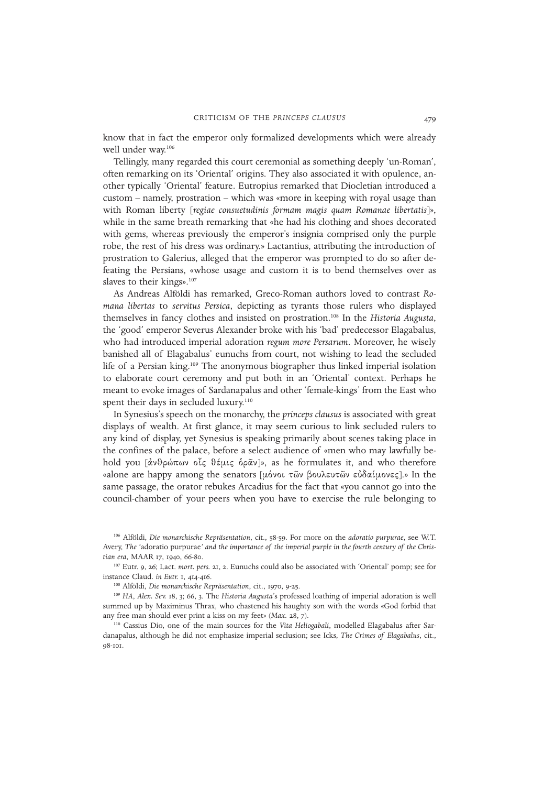know that in fact the emperor only formalized developments which were already well under way.<sup>106</sup>

Tellingly, many regarded this court ceremonial as something deeply 'un-Roman', often remarking on its 'Oriental' origins. They also associated it with opulence, another typically 'Oriental' feature. Eutropius remarked that Diocletian introduced a custom – namely, prostration – which was «more in keeping with royal usage than with Roman liberty [*regiae consuetudinis formam magis quam Romanae libertatis*]», while in the same breath remarking that «he had his clothing and shoes decorated with gems, whereas previously the emperor's insignia comprised only the purple robe, the rest of his dress was ordinary.» Lactantius, attributing the introduction of prostration to Galerius, alleged that the emperor was prompted to do so after defeating the Persians, «whose usage and custom it is to bend themselves over as slaves to their kings».<sup>107</sup>

As Andreas Alföldi has remarked, Greco-Roman authors loved to contrast *Romana libertas* to *servitus Persica*, depicting as tyrants those rulers who displayed themselves in fancy clothes and insisted on prostration.<sup>108</sup> In the *Historia Augusta*, the 'good' emperor Severus Alexander broke with his 'bad' predecessor Elagabalus, who had introduced imperial adoration *regum more Persarum*. Moreover, he wisely banished all of Elagabalus' eunuchs from court, not wishing to lead the secluded life of a Persian king.<sup>109</sup> The anonymous biographer thus linked imperial isolation to elaborate court ceremony and put both in an 'Oriental' context. Perhaps he meant to evoke images of Sardanapalus and other 'female-kings' from the East who spent their days in secluded luxury.<sup>110</sup>

In Synesius's speech on the monarchy, the *princeps clausus* is associated with great displays of wealth. At first glance, it may seem curious to link secluded rulers to any kind of display, yet Synesius is speaking primarily about scenes taking place in the confines of the palace, before a select audience of «men who may lawfully behold you [ἀνθρώπων οἶς θέμις ὁρᾶν]», as he formulates it, and who therefore «alone are happy among the senators [μόνοι τῶν βουλευτῶν εὐδαίμονες].» In the same passage, the orator rebukes Arcadius for the fact that «you cannot go into the council-chamber of your peers when you have to exercise the rule belonging to

<sup>106</sup> Alföldi, *Die monarchische Repräsentation*, cit., 58-59. For more on the *adoratio purpurae*, see W.T. Avery, *The '*adoratio purpurae*' and the importance of the imperial purple in the fourth century of the Christian era*, MAAR 17, 1940, 66-80.

<sup>107</sup> Eutr. 9, 26; Lact. *mort. pers.* 21, 2. Eunuchs could also be associated with 'Oriental' pomp; see for instance Claud. *in Eutr.* 1, 414-416.

<sup>108</sup> Alföldi, *Die monarchische Repräsentation*, cit., 1970, 9-25.

<sup>109</sup> *HA*, *Alex. Sev.* 18, 3; 66, 3. The *Historia Augusta*'s professed loathing of imperial adoration is well summed up by Maximinus Thrax, who chastened his haughty son with the words «God forbid that any free man should ever print a kiss on my feet» (*Max.* 28, 7).

<sup>110</sup> Cassius Dio, one of the main sources for the *Vita Heliogabali*, modelled Elagabalus after Sardanapalus, although he did not emphasize imperial seclusion; see Icks, *The Crimes of Elagabalus*, cit., 08-101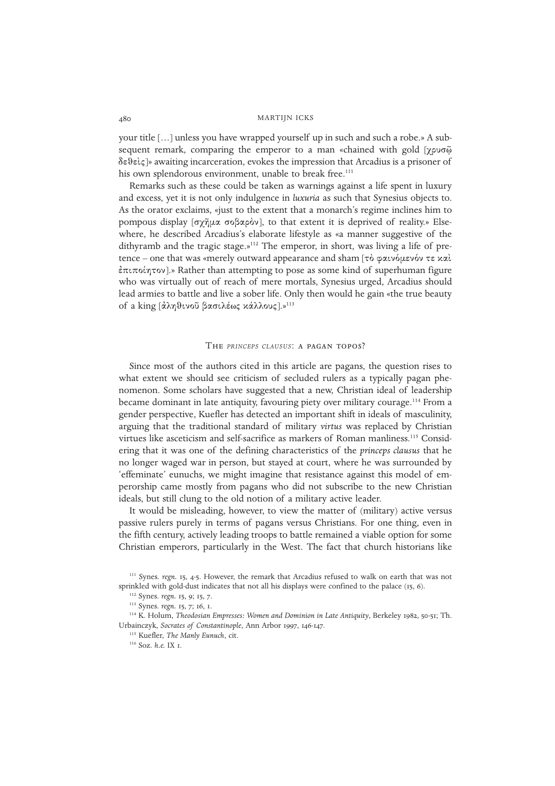your title […] unless you have wrapped yourself up in such and such a robe.» A subsequent remark, comparing the emperor to a man «chained with gold [χρυσῷ  $\delta \varepsilon \theta \varepsilon \zeta$  awaiting incarceration, evokes the impression that Arcadius is a prisoner of his own splendorous environment, unable to break free.<sup>111</sup>

Remarks such as these could be taken as warnings against a life spent in luxury and excess, yet it is not only indulgence in *luxuria* as such that Synesius objects to. As the orator exclaims, «just to the extent that a monarch's regime inclines him to pompous display [σχῆμα σοβαρὸν], to that extent it is deprived of reality.» Elsewhere, he described Arcadius's elaborate lifestyle as «a manner suggestive of the dithyramb and the tragic stage.»<sup>112</sup> The emperor, in short, was living a life of pretence – one that was «merely outward appearance and sham  $\lceil \tau \delta \varphi \alpha \iota \nu \varphi \mu \varepsilon \nu \varphi \nu \tau \varepsilon \times \alpha \iota \nu$ έπιποίητον].» Rather than attempting to pose as some kind of superhuman figure who was virtually out of reach of mere mortals, Synesius urged, Arcadius should lead armies to battle and live a sober life. Only then would he gain «the true beauty of a king [άληθινοῦ βασιλέως κάλλους].»<sup>113</sup>

#### The *PRINCEPS CLAUSUS*: a pagan topos?

Since most of the authors cited in this article are pagans, the question rises to what extent we should see criticism of secluded rulers as a typically pagan phenomenon. Some scholars have suggested that a new, Christian ideal of leadership became dominant in late antiquity, favouring piety over military courage.<sup>114</sup> From a gender perspective, Kuefler has detected an important shift in ideals of masculinity, arguing that the traditional standard of military *virtus* was replaced by Christian virtues like asceticism and self-sacrifice as markers of Roman manliness.<sup>115</sup> Considering that it was one of the defining characteristics of the *princeps clausus* that he no longer waged war in person, but stayed at court, where he was surrounded by 'effeminate' eunuchs, we might imagine that resistance against this model of emperorship came mostly from pagans who did not subscribe to the new Christian ideals, but still clung to the old notion of a military active leader.

It would be misleading, however, to view the matter of (military) active versus passive rulers purely in terms of pagans versus Christians. For one thing, even in the fifth century, actively leading troops to battle remained a viable option for some Christian emperors, particularly in the West. The fact that church historians like

<sup>114</sup> K. Holum, *Theodosian Empresses: Women and Dominion in Late Antiquity*, Berkeley 1982, 50-51; Th. Urbainczyk, *Socrates of Constantinople*, Ann Arbor 1997, 146-147.

<sup>&</sup>lt;sup>111</sup> Synes. *regn.* 15, 4-5. However, the remark that Arcadius refused to walk on earth that was not sprinkled with gold-dust indicates that not all his displays were confined to the palace (15, 6).

<sup>112</sup> Synes. *regn.* 15, 9; 15, 7.

<sup>113</sup> Synes. *regn.* 15, 7; 16, 1.

<sup>115</sup> Kuefler, *The Manly Eunuch*, cit.

<sup>116</sup> Soz. *h.e.* IX 1.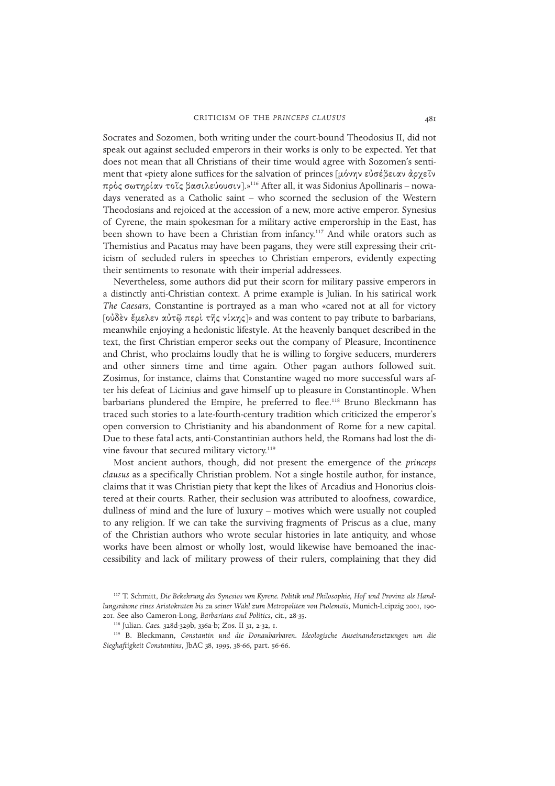Socrates and Sozomen, both writing under the court-bound Theodosius II, did not speak out against secluded emperors in their works is only to be expected. Yet that does not mean that all Christians of their time would agree with Sozomen's sentiment that «piety alone suffices for the salvation of princes [μόνην εὐσέβειαν ἀρχεῖν πρός σωτηρίαν τοῖς βασιλεύουσιν].»<sup>116</sup> After all, it was Sidonius Apollinaris – nowadays venerated as a Catholic saint – who scorned the seclusion of the Western Theodosians and rejoiced at the accession of a new, more active emperor. Synesius of Cyrene, the main spokesman for a military active emperorship in the East, has been shown to have been a Christian from infancy.<sup>117</sup> And while orators such as Themistius and Pacatus may have been pagans, they were still expressing their criticism of secluded rulers in speeches to Christian emperors, evidently expecting their sentiments to resonate with their imperial addressees.

Nevertheless, some authors did put their scorn for military passive emperors in a distinctly anti-Christian context. A prime example is Julian. In his satirical work *The Caesars*, Constantine is portrayed as a man who «cared not at all for victory [ούδεν έμελεν αὐτῷ περὶ τῆς νίκης]» and was content to pay tribute to barbarians, meanwhile enjoying a hedonistic lifestyle. At the heavenly banquet described in the text, the first Christian emperor seeks out the company of Pleasure, Incontinence and Christ, who proclaims loudly that he is willing to forgive seducers, murderers and other sinners time and time again. Other pagan authors followed suit. Zosimus, for instance, claims that Constantine waged no more successful wars after his defeat of Licinius and gave himself up to pleasure in Constantinople. When barbarians plundered the Empire, he preferred to flee.<sup>118</sup> Bruno Bleckmann has traced such stories to a late-fourth-century tradition which criticized the emperor's open conversion to Christianity and his abandonment of Rome for a new capital. Due to these fatal acts, anti-Constantinian authors held, the Romans had lost the divine favour that secured military victory.<sup>119</sup>

Most ancient authors, though, did not present the emergence of the *princeps clausus* as a specifically Christian problem. Not a single hostile author, for instance, claims that it was Christian piety that kept the likes of Arcadius and Honorius cloistered at their courts. Rather, their seclusion was attributed to aloofness, cowardice, dullness of mind and the lure of luxury – motives which were usually not coupled to any religion. If we can take the surviving fragments of Priscus as a clue, many of the Christian authors who wrote secular histories in late antiquity, and whose works have been almost or wholly lost, would likewise have bemoaned the inaccessibility and lack of military prowess of their rulers, complaining that they did

<sup>117</sup> T. Schmitt, *Die Bekehrung des Synesios von Kyrene. Politik und Philosophie, Hof und Provinz als Handlungsräume eines Aristokraten bis zu seiner Wahl zum Metropoliten von Ptolemaïs*, Munich-Leipzig 2001, 190- 201. See also Cameron-Long, *Barbarians and Politics*, cit., 28-35.

<sup>118</sup> Julian. *Caes.* 328d-329b, 336a-b; Zos. II 31, 2-32, 1.

<sup>119</sup> B. Bleckmann, *Constantin und die Donaubarbaren. Ideologische Auseinandersetzungen um die Sieghaftigkeit Constantins*, JbAC 38, 1995, 38-66, part. 56-66.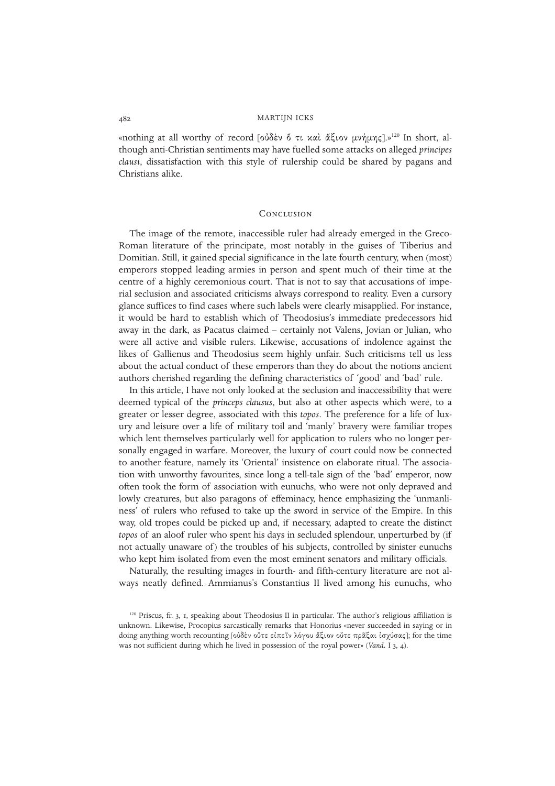«nothing at all worthy of record [ούδεν ő τι και άξιον μνήμης].»<sup>120</sup> In short, although anti-Christian sentiments may have fuelled some attacks on alleged *principes clausi*, dissatisfaction with this style of rulership could be shared by pagans and Christians alike.

#### **CONCLUSION**

The image of the remote, inaccessible ruler had already emerged in the Greco-Roman literature of the principate, most notably in the guises of Tiberius and Domitian. Still, it gained special significance in the late fourth century, when (most) emperors stopped leading armies in person and spent much of their time at the centre of a highly ceremonious court. That is not to say that accusations of imperial seclusion and associated criticisms always correspond to reality. Even a cursory glance suffices to find cases where such labels were clearly misapplied. For instance, it would be hard to establish which of Theodosius's immediate predecessors hid away in the dark, as Pacatus claimed – certainly not Valens, Jovian or Julian, who were all active and visible rulers. Likewise, accusations of indolence against the likes of Gallienus and Theodosius seem highly unfair. Such criticisms tell us less about the actual conduct of these emperors than they do about the notions ancient authors cherished regarding the defining characteristics of 'good' and 'bad' rule.

In this article, I have not only looked at the seclusion and inaccessibility that were deemed typical of the *princeps clausus*, but also at other aspects which were, to a greater or lesser degree, associated with this *topos*. The preference for a life of luxury and leisure over a life of military toil and 'manly' bravery were familiar tropes which lent themselves particularly well for application to rulers who no longer personally engaged in warfare. Moreover, the luxury of court could now be connected to another feature, namely its 'Oriental' insistence on elaborate ritual. The association with unworthy favourites, since long a tell-tale sign of the 'bad' emperor, now often took the form of association with eunuchs, who were not only depraved and lowly creatures, but also paragons of effeminacy, hence emphasizing the 'unmanliness' of rulers who refused to take up the sword in service of the Empire. In this way, old tropes could be picked up and, if necessary, adapted to create the distinct *topos* of an aloof ruler who spent his days in secluded splendour, unperturbed by (if not actually unaware of ) the troubles of his subjects, controlled by sinister eunuchs who kept him isolated from even the most eminent senators and military officials.

Naturally, the resulting images in fourth- and fifth-century literature are not always neatly defined. Ammianus's Constantius II lived among his eunuchs, who

 $120$  Priscus, fr. 3, 1, speaking about Theodosius II in particular. The author's religious affiliation is unknown. Likewise, Procopius sarcastically remarks that Honorius «never succeeded in saying or in doing anything worth recounting [ούδεν ούτε είπεῖν λόγου ἄξιον ούτε πρᾶξαι ισχύσας]; for the time was not sufficient during which he lived in possession of the royal power» (*Vand.* I 3, 4).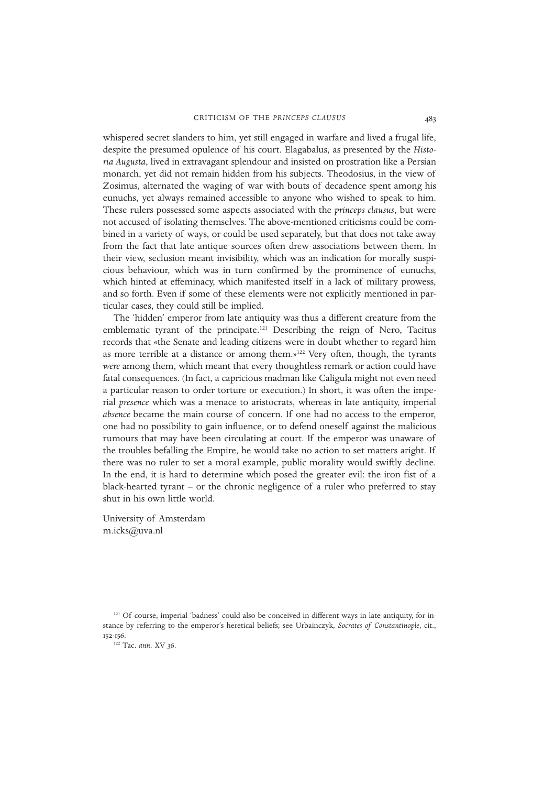whispered secret slanders to him, yet still engaged in warfare and lived a frugal life, despite the presumed opulence of his court. Elagabalus, as presented by the *Historia Augusta*, lived in extravagant splendour and insisted on prostration like a Persian monarch, yet did not remain hidden from his subjects. Theodosius, in the view of Zosimus, alternated the waging of war with bouts of decadence spent among his eunuchs, yet always remained accessible to anyone who wished to speak to him. These rulers possessed some aspects associated with the *princeps clausus*, but were not accused of isolating themselves. The above-mentioned criticisms could be combined in a variety of ways, or could be used separately, but that does not take away from the fact that late antique sources often drew associations between them. In their view, seclusion meant invisibility, which was an indication for morally suspicious behaviour, which was in turn confirmed by the prominence of eunuchs, which hinted at effeminacy, which manifested itself in a lack of military prowess, and so forth. Even if some of these elements were not explicitly mentioned in particular cases, they could still be implied.

The 'hidden' emperor from late antiquity was thus a different creature from the emblematic tyrant of the principate.<sup>121</sup> Describing the reign of Nero, Tacitus records that «the Senate and leading citizens were in doubt whether to regard him as more terrible at a distance or among them.»<sup>122</sup> Very often, though, the tyrants *were* among them, which meant that every thoughtless remark or action could have fatal consequences. (In fact, a capricious madman like Caligula might not even need a particular reason to order torture or execution.) In short, it was often the imperial *presence* which was a menace to aristocrats, whereas in late antiquity, imperial *absence* became the main course of concern. If one had no access to the emperor, one had no possibility to gain influence, or to defend oneself against the malicious rumours that may have been circulating at court. If the emperor was unaware of the troubles befalling the Empire, he would take no action to set matters aright. If there was no ruler to set a moral example, public morality would swiftly decline. In the end, it is hard to determine which posed the greater evil: the iron fist of a black-hearted tyrant – or the chronic negligence of a ruler who preferred to stay shut in his own little world.

University of Amsterdam m.icks@uva.nl

<sup>121</sup> Of course, imperial 'badness' could also be conceived in different ways in late antiquity, for instance by referring to the emperor's heretical beliefs; see Urbainczyk, *Socrates of Constantinople*, cit., 152-156.

<sup>122</sup> Tac. *ann.* XV 36.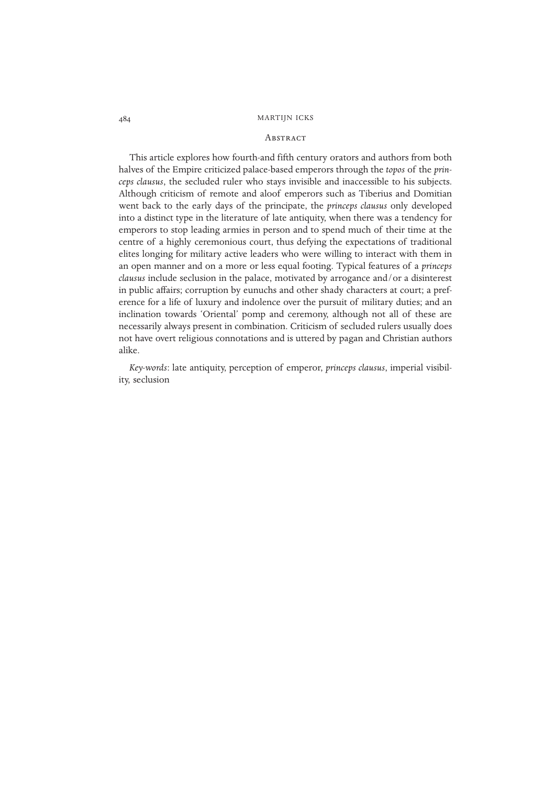#### **ABSTRACT**

This article explores how fourth-and fifth century orators and authors from both halves of the Empire criticized palace-based emperors through the *topos* of the *princeps clausus*, the secluded ruler who stays invisible and inaccessible to his subjects. Although criticism of remote and aloof emperors such as Tiberius and Domitian went back to the early days of the principate, the *princeps clausus* only developed into a distinct type in the literature of late antiquity, when there was a tendency for emperors to stop leading armies in person and to spend much of their time at the centre of a highly ceremonious court, thus defying the expectations of traditional elites longing for military active leaders who were willing to interact with them in an open manner and on a more or less equal footing. Typical features of a *princeps clausus* include seclusion in the palace, motivated by arrogance and/or a disinterest in public affairs; corruption by eunuchs and other shady characters at court; a preference for a life of luxury and indolence over the pursuit of military duties; and an inclination towards 'Oriental' pomp and ceremony, although not all of these are necessarily always present in combination. Criticism of secluded rulers usually does not have overt religious connotations and is uttered by pagan and Christian authors alike.

*Key-words*: late antiquity, perception of emperor, *princeps clausus*, imperial visibility, seclusion